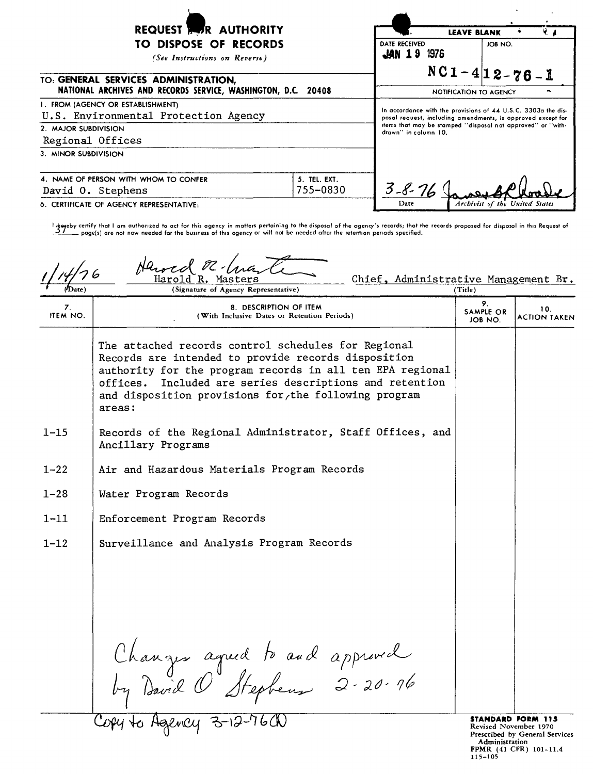| REQUEST <b>AUTHORITY</b><br>TO DISPOSE OF RECORDS<br>(See Instructions on Reverse)<br>TO: GENERAL SERVICES ADMINISTRATION,                 |                          | DATE RECEIVED<br>~1976 | Y., 1<br><b>LEAVE BLANK</b><br>JOB NO.<br>$NC1-4 12-76-1$                                                                  |
|--------------------------------------------------------------------------------------------------------------------------------------------|--------------------------|------------------------|----------------------------------------------------------------------------------------------------------------------------|
| NATIONAL ARCHIVES AND RECORDS SERVICE, WASHINGTON, D.C. 20408<br>1. FROM (AGENCY OR ESTABLISHMENT)<br>U.S. Environmental Protection Agency |                          |                        | NOTIFICATION TO AGENCY<br>In accordance with the provisions of 44 U.S.C. 3303a the dis-                                    |
| 2. MAJOR SUBDIVISION<br>Regional Offices                                                                                                   |                          | drawn" in column 10.   | posal request, including amendments, is opproved except for<br>items that may be stamped "disposal not approved" or "with- |
| 3. MINOR SUBDIVISION                                                                                                                       |                          |                        |                                                                                                                            |
| 4. NAME OF PERSON WITH WHOM TO CONFER<br>David O. Stephens                                                                                 | 5. TEL. EXT.<br>755-0830 | $3 - 8 - 76$           |                                                                                                                            |
| 6. CERTIFICATE OF AGENCY REPRESENTATIVE:                                                                                                   |                          | Date                   | Archivist of the United States                                                                                             |

l Aggeby certify that I am authorized to act for this agency in matters pertaining to the disposal of the agency's records; thot the records proposed for disposol in this Request of<br>\_\_\_\_\_\_\_\_\_ poge(s) are not now needed for

|                       | Harod<br>Chief, Administrative Management Br.<br>Harold<br>R. Masters<br>(Signature of Agency Representative)                                                                                                                                                                                           | (Title)                    |                                                                              |
|-----------------------|---------------------------------------------------------------------------------------------------------------------------------------------------------------------------------------------------------------------------------------------------------------------------------------------------------|----------------------------|------------------------------------------------------------------------------|
| 7.<br><b>ITEM NO.</b> | 8. DESCRIPTION OF ITEM<br>(With Inclusive Dates or Retention Periods)                                                                                                                                                                                                                                   | 9.<br>SAMPLE OR<br>JOB NO. | 10.<br><b>ACTION TAKEN</b>                                                   |
|                       | The attached records control schedules for Regional<br>Records are intended to provide records disposition<br>authority for the program records in all ten EPA regional<br>Included are series descriptions and retention<br>offices.<br>and disposition provisions for the following program<br>areas: |                            |                                                                              |
| $1 - 15$              | Records of the Regional Administrator, Staff Offices, and<br>Ancillary Programs                                                                                                                                                                                                                         |                            |                                                                              |
| $1 - 22$              | Air and Hazardous Materials Program Records                                                                                                                                                                                                                                                             |                            |                                                                              |
| $1 - 28$              | Water Program Records                                                                                                                                                                                                                                                                                   |                            |                                                                              |
| $1 - 11$              | Enforcement Program Records                                                                                                                                                                                                                                                                             |                            |                                                                              |
| $1 - 12$              | Surveillance and Analysis Program Records                                                                                                                                                                                                                                                               |                            |                                                                              |
|                       |                                                                                                                                                                                                                                                                                                         |                            |                                                                              |
|                       |                                                                                                                                                                                                                                                                                                         |                            |                                                                              |
|                       |                                                                                                                                                                                                                                                                                                         |                            |                                                                              |
|                       | Changer agreed to and approved<br>by David O Stephens 2-20-16                                                                                                                                                                                                                                           |                            |                                                                              |
|                       | Copy to Agency 3-12-76CN                                                                                                                                                                                                                                                                                |                            | STANDARD FORM 115<br>Revised November 1970<br>Prescribed by General Services |

**STANDARD FORM 115**<br>Revised November 1970<br>
Prescribed by General Service:<br>
Administration<br>
FPMR (41 CFR) 101-11.4<br>
115-105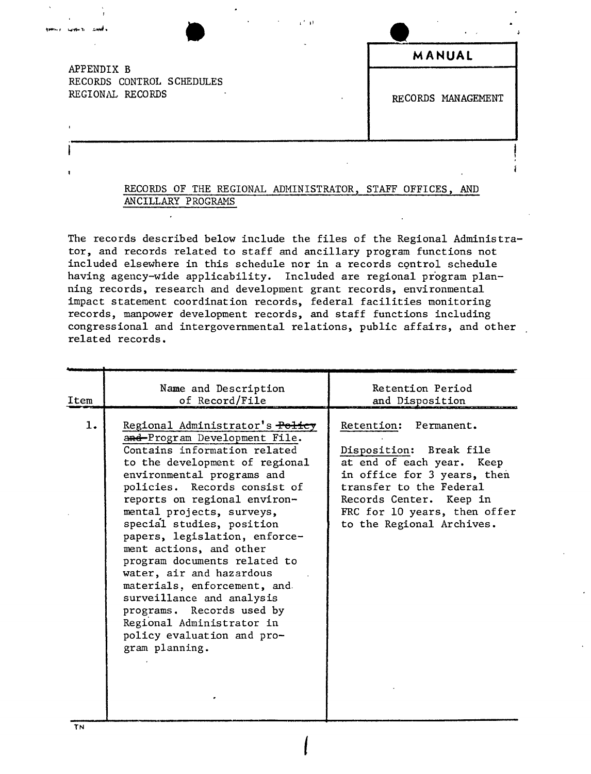$\bullet$ APPENDIX B RECORDS CONTROL SCHEDULES REGIONAL RECORDS

|  | MANUAL             |
|--|--------------------|
|  | RECORDS MANAGEMENT |

### RECORDS OF THE REGIONAL ADMINISTRATOR, STAFF OFFICES, AND ANCILLARY PROGRAMS

The records described below include the files of the Regional Administrator, and records related to staff and ancillary program functions not included elsewhere in this schedule nor in a records control schedule having agency-wide applicability. Included are regional program planning records, research and development grant records, environmental impact statement coordination records, federal facilities monitoring records, manpower development records, and staff functions including congressional and intergovernmental relations, public affairs, and other related records.

| Item | Name and Description<br>of Record/File                                                                                                                                                                                                                                                                                                                                                                                                                                                                                                                                                   | Retention Period<br>and Disposition                                                                                                                                                                                             |
|------|------------------------------------------------------------------------------------------------------------------------------------------------------------------------------------------------------------------------------------------------------------------------------------------------------------------------------------------------------------------------------------------------------------------------------------------------------------------------------------------------------------------------------------------------------------------------------------------|---------------------------------------------------------------------------------------------------------------------------------------------------------------------------------------------------------------------------------|
| 1.   | Regional Administrator's Policy<br>and-Program Development File.<br>Contains information related<br>to the development of regional<br>environmental programs and<br>policies. Records consist of<br>reports on regional environ-<br>mental projects, surveys,<br>special studies, position<br>papers, legislation, enforce-<br>ment actions, and other<br>program documents related to<br>water, air and hazardous<br>materials, enforcement, and<br>surveillance and analysis<br>programs. Records used by<br>Regional Administrator in<br>policy evaluation and pro-<br>gram planning. | Retention: Permanent.<br>Disposition: Break file<br>at end of each year. Keep<br>in office for 3 years, then<br>transfer to the Federal<br>Records Center. Keep in<br>FRC for 10 years, then offer<br>to the Regional Archives. |

*I*

TN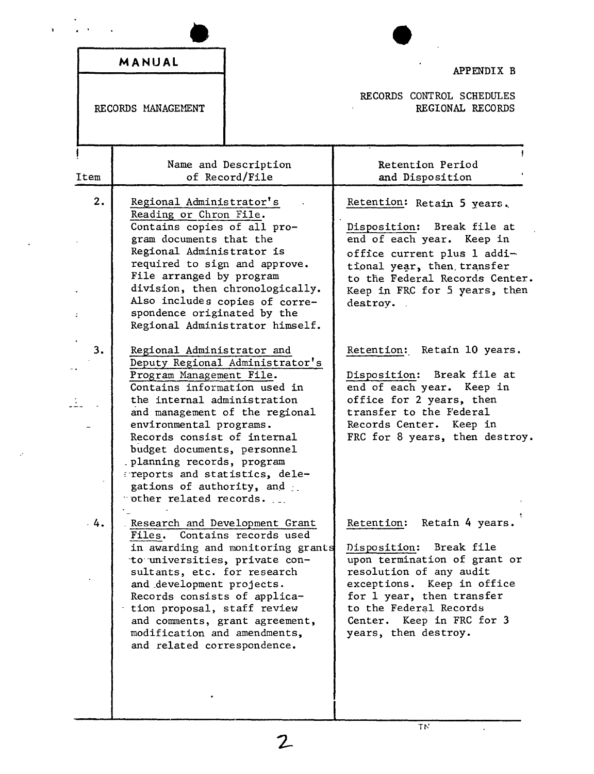|      | MANUAL                                                                                                                                                                                                                                                                                                                                                       |                                                                                                      | APPENDIX B                                                                                                                                                                                                                                                       |
|------|--------------------------------------------------------------------------------------------------------------------------------------------------------------------------------------------------------------------------------------------------------------------------------------------------------------------------------------------------------------|------------------------------------------------------------------------------------------------------|------------------------------------------------------------------------------------------------------------------------------------------------------------------------------------------------------------------------------------------------------------------|
|      | RECORDS MANAGEMENT                                                                                                                                                                                                                                                                                                                                           |                                                                                                      | RECORDS CONTROL SCHEDULES<br>REGIONAL RECORDS                                                                                                                                                                                                                    |
| Item |                                                                                                                                                                                                                                                                                                                                                              | Name and Description<br>of Record/File                                                               | Retention Period<br>and Disposition                                                                                                                                                                                                                              |
| 2.   | Regional Administrator's<br>Reading or Chron File.<br>Contains copies of all pro-<br>gram documents that the<br>Regional Administrator is<br>required to sign and approve.<br>File arranged by program<br>spondence originated by the                                                                                                                        | division, then chronologically.<br>Also includes copies of corre-<br>Regional Administrator himself. | Retention: Retain 5 years.<br>Disposition: Break file at<br>end of each year. Keep in<br>office current plus 1 addi-<br>tional year, then, transfer<br>to the Federal Records Center.<br>Keep in FRC for 5 years, then<br>destroy.                               |
| 3.   | Regional Administrator and<br>Program Management File.<br>Contains information used in<br>the internal administration<br>environmental programs.<br>Records consist of internal<br>budget documents, personnel<br>planning records, program<br>areports and statistics, dele-<br>gations of authority, and<br>$\cdot$ other related records. $\qquad \qquad$ | Deputy Regional Administrator's<br>and management of the regional                                    | Retention: Retain 10 years.<br>Disposition: Break file at<br>end of each year. Keep in<br>office for 2 years, then<br>transfer to the Federal<br>Records Center. Keep in<br>FRC for 8 years, then destroy.                                                       |
| 4.   | Research and Development Grant<br>Files.<br>to universities, private con-<br>sultants, etc. for research<br>and development projects.<br>Records consists of applica-<br>tion proposal, staff review<br>and comments, grant agreement,<br>modification and amendments,<br>and related correspondence.                                                        | Contains records used<br>in awarding and monitoring grants                                           | Retain 4 years.<br>Retention:<br>Break file<br>Disposition:<br>upon termination of grant or<br>resolution of any audit<br>exceptions. Keep in office<br>for 1 year, then transfer<br>to the Federal Records<br>Center. Keep in FRC for 3<br>years, then destroy. |

 $\mathbf{r}$ 

 $\ddot{\phantom{a}}$ 

Ļ.

 $\overline{2}$ 

 $\ddot{\phantom{a}}$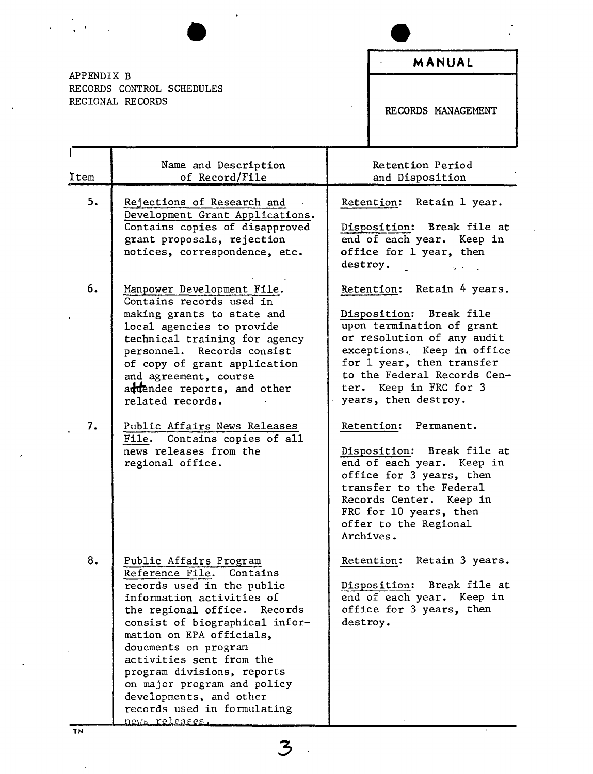APPENDIX B RECORDS CONTROL SCHEDULES REGIONAL RECORDS

 $\mathbf{r}$ 

ï

 $\hat{\textbf{z}}$ 

RECORDS MANAGEMENT

| <b>Item</b> | Name and Description<br>of Record/File                                                                                                                                                                                                                                                                                                                                                                      | Retention Period<br>and Disposition                                                                                                                                                                                                                          |
|-------------|-------------------------------------------------------------------------------------------------------------------------------------------------------------------------------------------------------------------------------------------------------------------------------------------------------------------------------------------------------------------------------------------------------------|--------------------------------------------------------------------------------------------------------------------------------------------------------------------------------------------------------------------------------------------------------------|
| 5.          | Rejections of Research and<br>Development Grant Applications.<br>Contains copies of disapproved<br>grant proposals, rejection<br>notices, correspondence, etc.                                                                                                                                                                                                                                              | Retention: Retain 1 year.<br>Disposition: Break file at<br>end of each year. Keep in<br>office for 1 year, then<br>destroy.                                                                                                                                  |
| 6.          | Manpower Development File.<br>Contains records used in<br>making grants to state and<br>local agencies to provide<br>technical training for agency<br>personnel. Records consist<br>of copy of grant application<br>and agreement, course<br>addendee reports, and other<br>related records.                                                                                                                | Retention: Retain 4 years.<br>Disposition: Break file<br>upon termination of grant<br>or resolution of any audit<br>exceptions. Keep in office<br>for 1 year, then transfer<br>to the Federal Records Cen-<br>ter. Keep in FRC for 3<br>years, then destroy. |
| 7.          | Public Affairs News Releases<br>File. Contains copies of all<br>news releases from the<br>regional office.                                                                                                                                                                                                                                                                                                  | Retention: Permanent.<br>Disposition: Break file at<br>end of each year. Keep in<br>office for 3 years, then<br>transfer to the Federal<br>Records Center. Keep in<br>FRC for 10 years, then<br>offer to the Regional<br>Archives.                           |
| 8.          | Public Affairs Program<br>Reference File. Contains<br>records used in the public<br>information activities of<br>the regional office.<br>Records<br>consist of biographical infor-<br>mation on EPA officials,<br>doucments on program<br>activities sent from the<br>program divisions, reports<br>on major program and policy<br>developments, and other<br>records used in formulating<br>news releases. | Retention: Retain 3 years.<br>Disposition: Break file at<br>end of each year. Keep in<br>office for 3 years, then<br>destroy.                                                                                                                                |
| TN          |                                                                                                                                                                                                                                                                                                                                                                                                             |                                                                                                                                                                                                                                                              |

 $\mathbf{z}$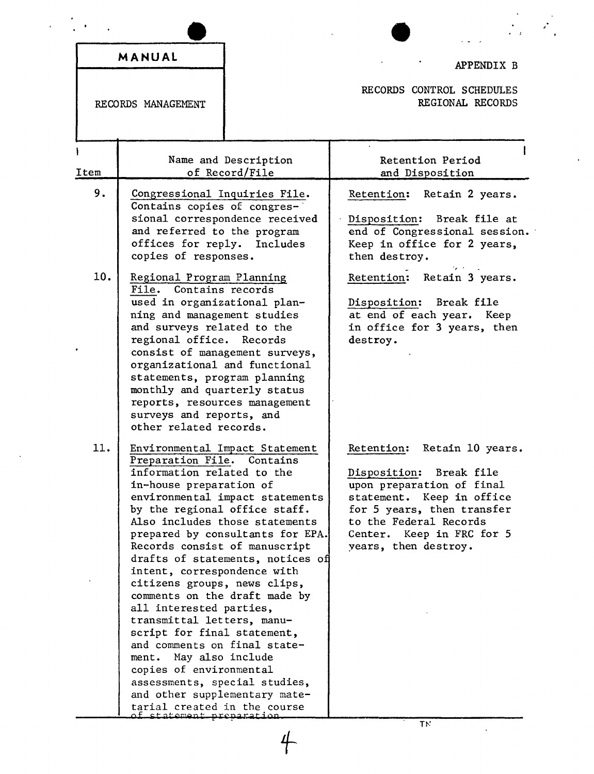|                    | MANUAL                                                                                                                                                                                                                                                                                                                                                                                                                                                                                                                                                                                                                                             |                                        | APPENDIX B                                                                                                                                                                                                                       |
|--------------------|----------------------------------------------------------------------------------------------------------------------------------------------------------------------------------------------------------------------------------------------------------------------------------------------------------------------------------------------------------------------------------------------------------------------------------------------------------------------------------------------------------------------------------------------------------------------------------------------------------------------------------------------------|----------------------------------------|----------------------------------------------------------------------------------------------------------------------------------------------------------------------------------------------------------------------------------|
| RECORDS MANAGEMENT |                                                                                                                                                                                                                                                                                                                                                                                                                                                                                                                                                                                                                                                    |                                        | RECORDS CONTROL SCHEDULES<br>REGIONAL RECORDS                                                                                                                                                                                    |
| Item               |                                                                                                                                                                                                                                                                                                                                                                                                                                                                                                                                                                                                                                                    | Name and Description<br>of Record/File | Retention Period<br>and Disposition                                                                                                                                                                                              |
| 9.                 | Congressional Inquiries File.<br>Contains copies of congres-<br>and referred to the program<br>offices for reply. Includes                                                                                                                                                                                                                                                                                                                                                                                                                                                                                                                         | sional correspondence received         | Retention:<br>Retain 2 years.<br>Disposition: Break file at<br>end of Congressional session.<br>Keep in office for 2 years,<br>then destroy.                                                                                     |
| 10.                | copies of responses.<br>Regional Program Planning<br>File. Contains records<br>used in organizational plan-<br>ning and management studies<br>and surveys related to the<br>regional office. Records<br>consist of management surveys,<br>organizational and functional<br>statements, program planning<br>monthly and quarterly status<br>reports, resources management<br>surveys and reports, and<br>other related records.                                                                                                                                                                                                                     |                                        | Retention: Retain 3 years.<br>Disposition: Break file<br>at end of each year. Keep<br>in office for 3 years, then<br>destroy.                                                                                                    |
| 11.                | Environmental Impact Statement<br>Preparation File. Contains<br>information related to the<br>in-house preparation of<br>environmental impact statements<br>by the regional office staff.<br>Also includes those statements<br>prepared by consultants for EPA.<br>Records consist of manuscript<br>drafts of statements, notices of<br>intent, correspondence with<br>citizens groups, news clips,<br>comments on the draft made by<br>all interested parties,<br>transmittal letters, manu-<br>script for final statement,<br>and comments on final state-<br>ment. May also include<br>copies of environmental<br>assessments, special studies, |                                        | Retention:<br>Retain 10 years.<br>Disposition: Break file<br>upon preparation of final<br>statement. Keep in office<br>for 5 years, then transfer<br>to the Federal Records<br>Center. Keep in FRC for 5<br>years, then destroy. |

 $+$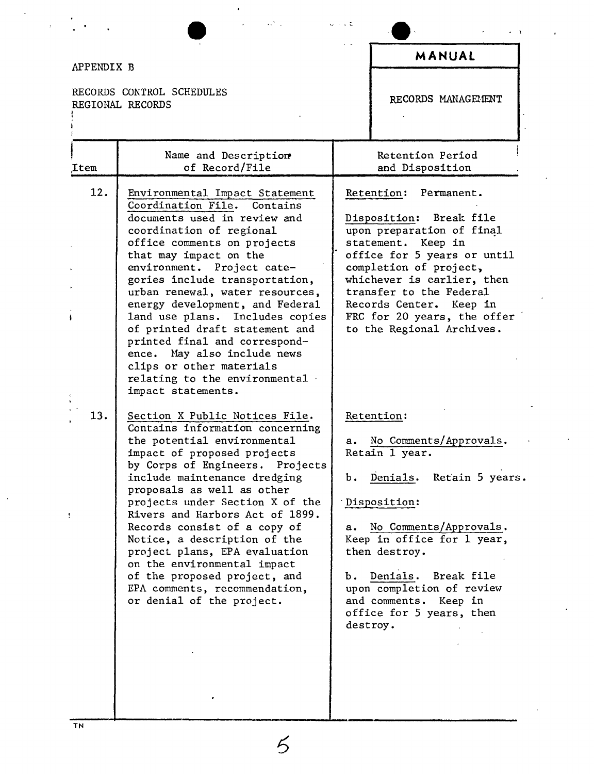#### APPENDIX B RECORDS CONTROL SCHEDULES REGIONAL RECORDS<br>! I I Name and Description ,Item of Record/File 12. Environmental Impact Statement Coordination File. Contains documents used in review and coordination of regional office comments on projects that may impact on the environment. Project categories include transportation, urban renewal, water resources, energy development, and Federal land use plans. Includes copies of printed draft statement and printed final and correspondence. May also include news clips or other materials relating to the environmental impact statements. 13. Section X Public Notices File. Contains information concerning the potential environmental impact of proposed projects by Corps of Engineers. Projects include maintenance dredging proposals as well as other projects under Section X of the Rivers and Harbors Act of 1899. Records consist of a copy of Notice, a description of the project plans, EPA evaluation on the environmental impact of the proposed project, and EPA comments, recommendation, or denial of the project. **MANUAL** RECORDS MANAGEHENT Retention Period and Disposition Retention: Permanent. Disposition: Break file upon preparation of final statement. Keep in office for 5 years or until completion of project, whichever is earlier, then transfer to the Federal Records Center. Keep in FRC for 20 years, the offer to the Regional Archives. Retention: a. No Comments/Approvals. Retain 1 year. b. Denials. Retain 5 years. Disposition: a. No Comments/Approvals. Keep in office for 1 year, then destroy. b. Denials. Break file upon completion of review and comments. Keep in office for 5 years, then destroy.

, 1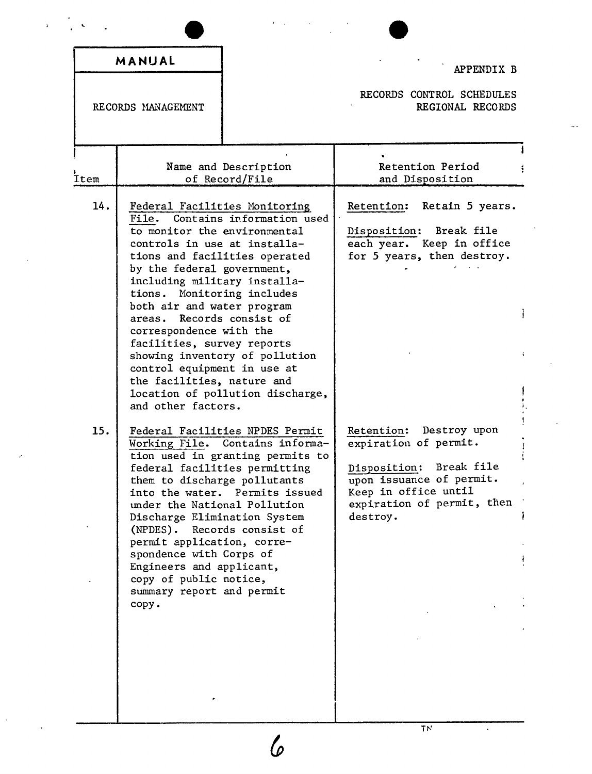| MANUAL                             |                                                                                                                                                                                                                                                                                                                                                                                                                                                                                                                | APPENDIX B                                                                                                                                                                      |  |
|------------------------------------|----------------------------------------------------------------------------------------------------------------------------------------------------------------------------------------------------------------------------------------------------------------------------------------------------------------------------------------------------------------------------------------------------------------------------------------------------------------------------------------------------------------|---------------------------------------------------------------------------------------------------------------------------------------------------------------------------------|--|
| RECORDS MANAGEMENT                 |                                                                                                                                                                                                                                                                                                                                                                                                                                                                                                                | RECORDS CONTROL SCHEDULES<br>REGIONAL RECORDS                                                                                                                                   |  |
| İtem                               | Name and Description<br>of Record/File                                                                                                                                                                                                                                                                                                                                                                                                                                                                         | Retention Period<br>and Disposition                                                                                                                                             |  |
| 14.<br>File.<br>and other factors. | Federal Facilities Monitoring<br>Contains information used<br>to monitor the environmental<br>controls in use at installa-<br>tions and facilities operated<br>by the federal government,<br>including military installa-<br>tions. Monitoring includes<br>both air and water program<br>areas. Records consist of<br>correspondence with the<br>facilities, survey reports<br>showing inventory of pollution<br>control equipment in use at<br>the facilities, nature and<br>location of pollution discharge, | Retention: Retain 5 years.<br>Break file<br>Disposition:<br>each year. Keep in office<br>for 5 years, then destroy.                                                             |  |
| 15.<br>copy.                       | Federal Facilities NPDES Permit<br>Working File. Contains informa-<br>tion used in granting permits to<br>federal facilities permitting<br>them to discharge pollutants<br>into the water. Permits issued<br>under the National Pollution<br>Discharge Elimination System<br>(NPDES). Records consist of<br>permit application, corre-<br>spondence with Corps of<br>Engineers and applicant,<br>copy of public notice,<br>summary report and permit                                                           | Destroy upon<br>Retention:<br>expiration of permit.<br>Break file<br>Disposition:<br>upon issuance of permit.<br>Keep in office until<br>expiration of permit, then<br>destroy. |  |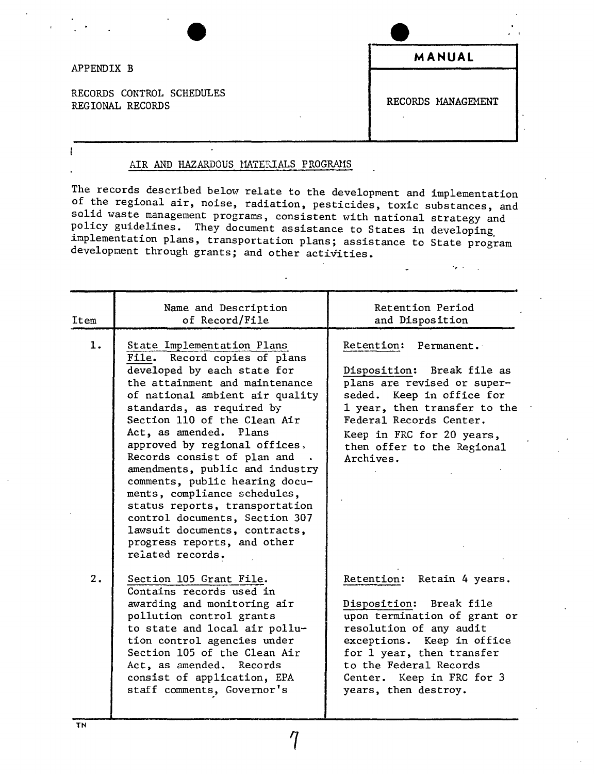#### APPENDIX B

ŧ

RECORDS CONTROL SCHEDULES REGIONAL RECORDS COMPOSED REGIONAL RECORDS

**MANUAL**

#### AIR AND HAZARDOUS MATERIALS PROGRAMS

ine records described below relate to the development and implementation of the regional air, noise, radiation, pesticides, toxic substances, and solia waste management programs, consistent with national strategy and<br>Policy suidelines. There i policy guidelines. They document assistance to States in developing. implementation plans, transportation plans; assistance to State program development through grants; and other activities.

| Item | Name and Description<br>of Record/File                                                                                                                                                                                                                                                                                                                                                                                                                                                                                                                                             | Retention Period<br>and Disposition                                                                                                                                                                                                                        |
|------|------------------------------------------------------------------------------------------------------------------------------------------------------------------------------------------------------------------------------------------------------------------------------------------------------------------------------------------------------------------------------------------------------------------------------------------------------------------------------------------------------------------------------------------------------------------------------------|------------------------------------------------------------------------------------------------------------------------------------------------------------------------------------------------------------------------------------------------------------|
| 1.   | State Implementation Plans<br>File. Record copies of plans<br>developed by each state for<br>the attainment and maintenance<br>of national ambient air quality<br>standards, as required by<br>Section 110 of the Clean Air<br>Act, as amended. Plans<br>approved by regional offices,<br>Records consist of plan and<br>amendments, public and industry<br>comments, public hearing docu-<br>ments, compliance schedules,<br>status reports, transportation<br>control documents, Section 307<br>lawsuit documents, contracts,<br>progress reports, and other<br>related records. | Retention: Permanent.<br>Disposition: Break file as<br>plans are revised or super-<br>seded. Keep in office for<br>1 year, then transfer to the<br>Federal Records Center.<br>Keep in FRC for 20 years,<br>then offer to the Regional<br>Archives.         |
| 2.   | Section 105 Grant File.<br>Contains records used in<br>awarding and monitoring air<br>pollution control grants<br>to state and local air pollu-<br>tion control agencies under<br>Section 105 of the Clean Air<br>Act, as amended. Records<br>consist of application, EPA<br>staff comments, Governor's                                                                                                                                                                                                                                                                            | Retention: Retain 4 years.<br>Disposition: Break file<br>upon termination of grant or<br>resolution of any audit<br>exceptions. Keep in office<br>for 1 year, then transfer<br>to the Federal Records<br>Center. Keep in FRC for 3<br>years, then destroy. |

 $\eta$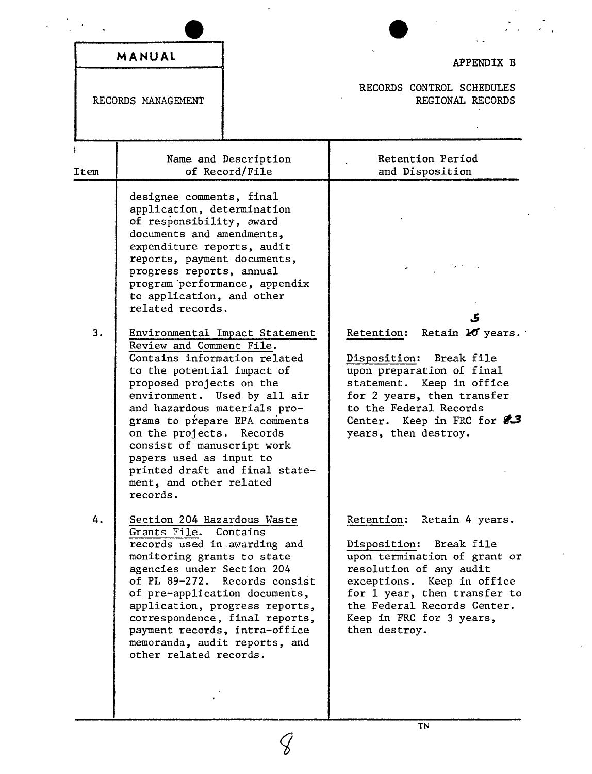|      | MANUAL                                                                                                                                                                                                                                                                                                                                                                                                                                                                                                                                                                                                                                        |                                                                                                   | APPENDIX B                                                                                                                                                                                                                                                 |
|------|-----------------------------------------------------------------------------------------------------------------------------------------------------------------------------------------------------------------------------------------------------------------------------------------------------------------------------------------------------------------------------------------------------------------------------------------------------------------------------------------------------------------------------------------------------------------------------------------------------------------------------------------------|---------------------------------------------------------------------------------------------------|------------------------------------------------------------------------------------------------------------------------------------------------------------------------------------------------------------------------------------------------------------|
|      | RECORDS MANAGEMENT                                                                                                                                                                                                                                                                                                                                                                                                                                                                                                                                                                                                                            |                                                                                                   | RECORDS CONTROL SCHEDULES<br>REGIONAL RECORDS                                                                                                                                                                                                              |
| Item |                                                                                                                                                                                                                                                                                                                                                                                                                                                                                                                                                                                                                                               | Name and Description<br>of Record/File                                                            | Retention Period<br>and Disposition                                                                                                                                                                                                                        |
| 3.   | designee comments, final<br>application, determination<br>of responsibility, award<br>documents and amendments,<br>expenditure reports, audit<br>reports, payment documents,<br>progress reports, annual<br>program performance, appendix<br>to application, and other<br>related records.<br>Review and Comment File.<br>Contains information related<br>to the potential impact of<br>proposed projects on the<br>environment. Used by all air<br>and hazardous materials pro-<br>grams to prepare EPA comments<br>on the projects. Records<br>consist of manuscript work<br>papers used as input to<br>ment, and other related<br>records. | Environmental Impact Statement<br>printed draft and final state-                                  | ک<br>Retention: Retain 20 years.<br>Disposition: Break file<br>upon preparation of final<br>statement. Keep in office<br>for 2 years, then transfer<br>to the Federal Records<br>Center. Keep in FRC for $83$<br>years, then destroy.                      |
| 4.   | Section 204 Hazardous Waste<br>Grants File. Contains<br>records used in awarding and<br>monitoring grants to state<br>agencies under Section 204<br>of pre-application documents,<br>payment records, intra-office<br>memoranda, audit reports, and<br>other related records.                                                                                                                                                                                                                                                                                                                                                                 | of PL 89-272. Records consist<br>application, progress reports,<br>correspondence, final reports, | Retention: Retain 4 years.<br>Disposition: Break file<br>upon termination of grant or<br>resolution of any audit<br>exceptions. Keep in office<br>for 1 year, then transfer to<br>the Federal Records Center.<br>Keep in FRC for 3 years,<br>then destroy. |

 $\mathcal{G}$ 

 $\frac{1}{\sqrt{2}}$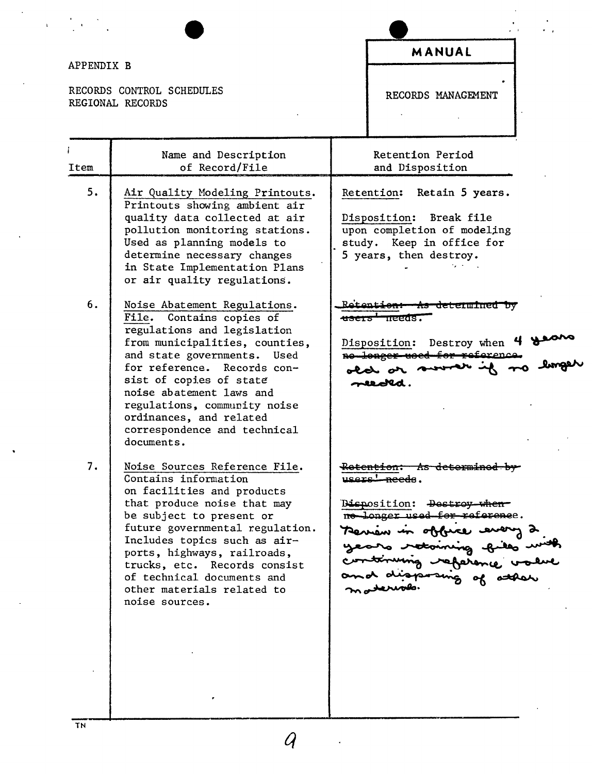## APPENDIX B

 $\label{eq:2} \frac{1}{\sqrt{2}}\frac{1}{4}\left(\frac{1}{\sqrt{2}}\right)^{1/2}$ 

 $\frac{1}{\sqrt{2}}$ 

RECORDS CONTROL SCHEDULES REGIONAL RECORDS

# MANUAL

RECORDS MANAGEMENT

 $\ddot{\phantom{a}}$ 

 $\hat{\mathcal{A}}$ 

| Item | Name and Description<br>of Record/File                                                                                                                                                                                                                                                                                                                         | Retention Period<br>and Disposition                                                                                                                                                                                                          |
|------|----------------------------------------------------------------------------------------------------------------------------------------------------------------------------------------------------------------------------------------------------------------------------------------------------------------------------------------------------------------|----------------------------------------------------------------------------------------------------------------------------------------------------------------------------------------------------------------------------------------------|
| 5.   | Air Quality Modeling Printouts.<br>Printouts showing ambient air<br>quality data collected at air<br>pollution monitoring stations.<br>Used as planning models to<br>determine necessary changes<br>in State Implementation Plans<br>or air quality regulations.                                                                                               | Retention: Retain 5 years.<br>Disposition: Break file<br>upon completion of modeling<br>study. Keep in office for<br>5 years, then destroy.                                                                                                  |
| 6.   | Noise Abatement Regulations.<br>File. Contains copies of<br>regulations and legislation<br>from municipalities, counties,<br>and state governments. Used<br>for reference. Records con-<br>sist of copies of state<br>noise abatement laws and<br>regulations, community noise<br>ordinances, and related<br>correspondence and technical<br>documents.        | <del>As determined by</del><br><del>users nee</del> as.<br>Disposition: Destroy when 4 theory<br>old or sword if no<br>needld.                                                                                                               |
| 7.   | Noise Sources Reference File.<br>Contains information<br>on facilities and products<br>that produce noise that may<br>be subject to present or<br>future governmental regulation.<br>Includes topics such as air-<br>ports, highways, railroads,<br>trucks, etc. Records consist<br>of technical documents and<br>other materials related to<br>noise sources. | <del>Retention:</del><br><del>- As determined by -</del><br>users' needs.<br>Bisposition: <del>Destroy when</del><br>no longer used for reference.<br>Aerian in obbice every<br>years retoining gills i<br>continuing reference<br>materials |

 $\mathcal{A}_{\mathcal{A}}$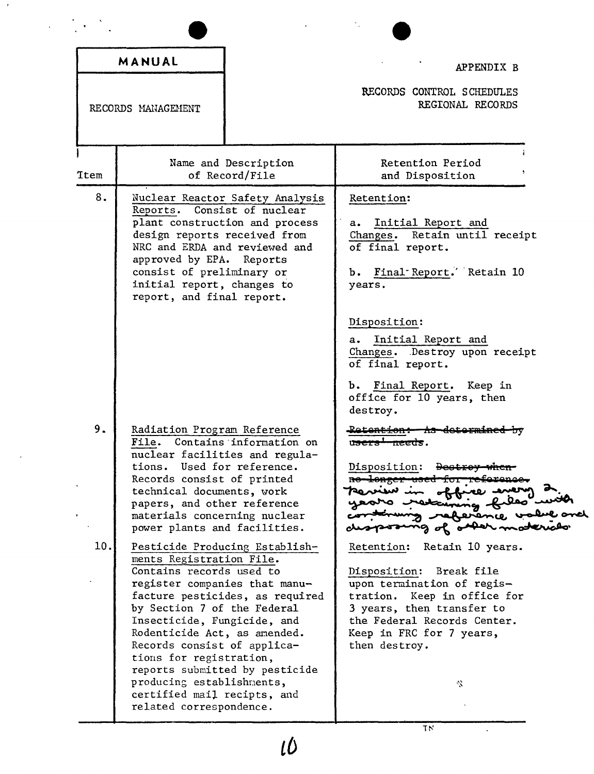|      | MANUAL                                                                                                                                                                                                                                                                                                                               |                                                                                                     | APPENDIX B                                                                                                                                                                                                                                                                                                |
|------|--------------------------------------------------------------------------------------------------------------------------------------------------------------------------------------------------------------------------------------------------------------------------------------------------------------------------------------|-----------------------------------------------------------------------------------------------------|-----------------------------------------------------------------------------------------------------------------------------------------------------------------------------------------------------------------------------------------------------------------------------------------------------------|
|      | RECORDS MANAGEMENT                                                                                                                                                                                                                                                                                                                   |                                                                                                     | RECORDS CONTROL SCHEDULES<br>REGIONAL RECORDS                                                                                                                                                                                                                                                             |
| Ttem |                                                                                                                                                                                                                                                                                                                                      | Name and Description<br>of Record/File                                                              | Retention Period<br>and Disposition                                                                                                                                                                                                                                                                       |
| 8.   | Reports.<br>design reports received from<br>NRC and ERDA and reviewed and<br>approved by EPA. Reports<br>consist of preliminary or<br>initial report, changes to<br>report, and final report.                                                                                                                                        | Nuclear Reactor Safety Analysis<br>Consist of nuclear<br>plant construction and process             | Retention:<br>Initial Report and<br>a.<br>Changes. Retain until receipt<br>of final report.<br>b. Final Report. Retain 10<br>years.<br>Disposition:<br>Initial Report and<br>a.<br>Changes. Destroy upon receipt<br>of final report.<br>b. Final Report. Keep in<br>office for 10 years, then<br>destroy. |
| 9.   | Radiation Program Reference<br>tions. Used for reference.<br>Records consist of printed<br>technical documents, work<br>papers, and other reference<br>materials concerning nuclear<br>power plants and facilities.                                                                                                                  | File. Contains information on<br>nuclear facilities and regula-                                     | <del>Retention: As determined by</del><br>u <del>sers' needs</del> .<br>Disposition: Destroy will<br>erence,<br>of other                                                                                                                                                                                  |
| 10.  | ments Registration File.<br>Contains records used to<br>register companies that manu-<br>by Section 7 of the Federal<br>Insecticide, Fungicide, and<br>Rodenticide Act, as amended.<br>Records consist of applica-<br>tions for registration,<br>producing establishments,<br>certified mail recipts, and<br>related correspondence. | Pesticide Producing Establish-<br>facture pesticides, as required<br>reports submitted by pesticide | Retention:<br>Retain 10 years.<br>Disposition:<br>Break file<br>upon termination of regis-<br>tration.<br>Keep in office for<br>3 years, then transfer to<br>the Federal Records Center.<br>Keep in FRC for 7 years,<br>then destroy.<br>₹.                                                               |

 $\mathcal{F}$ 

 $\overline{\phantom{a}}$ 

 $\overline{H}$ 

 $\ddot{\phantom{0}}$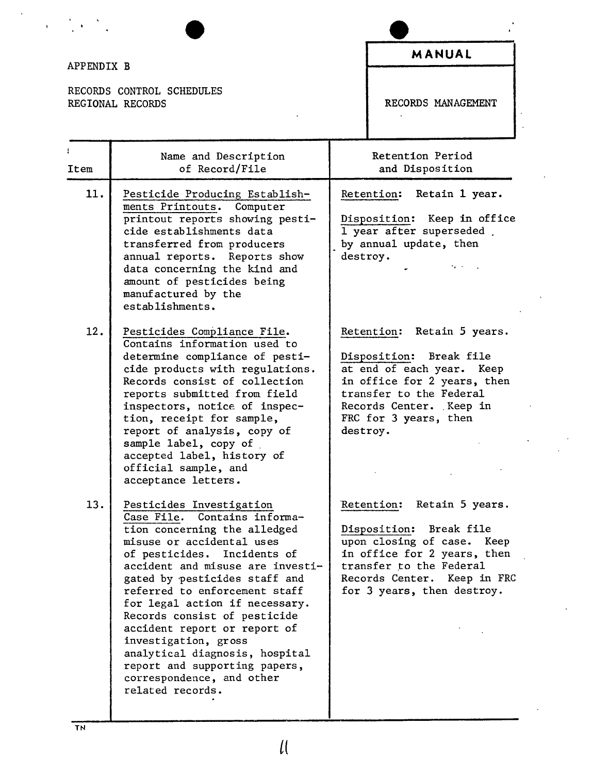## APPENDIX B

 $\frac{1}{2}$  ,  $\frac{1}{2}$  ,  $\frac{1}{2}$ 

 $\mathbf{r}$ 

RECORDS CONTROL SCHEDULES<br>REGIONAL RECORDS

### **MANUAL**

RECORDS MANAGEMENT

 $\mathbf{r}$ 

| Item | Name and Description<br>of Record/File                                                                                                                                                                                                                                                                                                                                                                                                                                                                   | Retention Period<br>and Disposition                                                                                                                                                                           |
|------|----------------------------------------------------------------------------------------------------------------------------------------------------------------------------------------------------------------------------------------------------------------------------------------------------------------------------------------------------------------------------------------------------------------------------------------------------------------------------------------------------------|---------------------------------------------------------------------------------------------------------------------------------------------------------------------------------------------------------------|
| 11.  | Pesticide Producing Establish-<br>ments Printouts. Computer<br>printout reports showing pesti-<br>cide establishments data<br>transferred from producers<br>annual reports. Reports show<br>data concerning the kind and<br>amount of pesticides being<br>manufactured by the<br>establishments.                                                                                                                                                                                                         | Retention: Retain 1 year.<br>Disposition: Keep in office<br>1 year after superseded.<br>by annual update, then<br>destroy.                                                                                    |
| 12.  | Pesticides Compliance File.<br>Contains information used to<br>determine compliance of pesti-<br>cide products with regulations.<br>Records consist of collection<br>reports submitted from field<br>inspectors, notice of inspec-<br>tion, receipt for sample,<br>report of analysis, copy of<br>sample label, copy of<br>accepted label, history of<br>official sample, and<br>acceptance letters.                                                                                                     | Retention: Retain 5 years.<br>Disposition: Break file<br>at end of each year. Keep<br>in office for 2 years, then<br>transfer to the Federal<br>Records Center. Keep in<br>FRC for 3 years, then<br>destroy.  |
| 13.  | Pesticides Investigation<br>Case File. Contains informa-<br>tion concerning the alledged<br>misuse or accidental uses<br>of pesticides. Incidents of<br>accident and misuse are investi-<br>gated by pesticides staff and<br>referred to enforcement staff<br>for legal action if necessary.<br>Records consist of pesticide<br>accident report or report of<br>investigation, gross<br>analytical diagnosis, hospital<br>report and supporting papers,<br>correspondence, and other<br>related records. | Retention: Retain 5 years.<br>Break file<br>Disposition:<br>upon closing of case. Keep<br>in office for 2 years, then<br>transfer to the Federal<br>Records Center. Keep in FRC<br>for 3 years, then destroy. |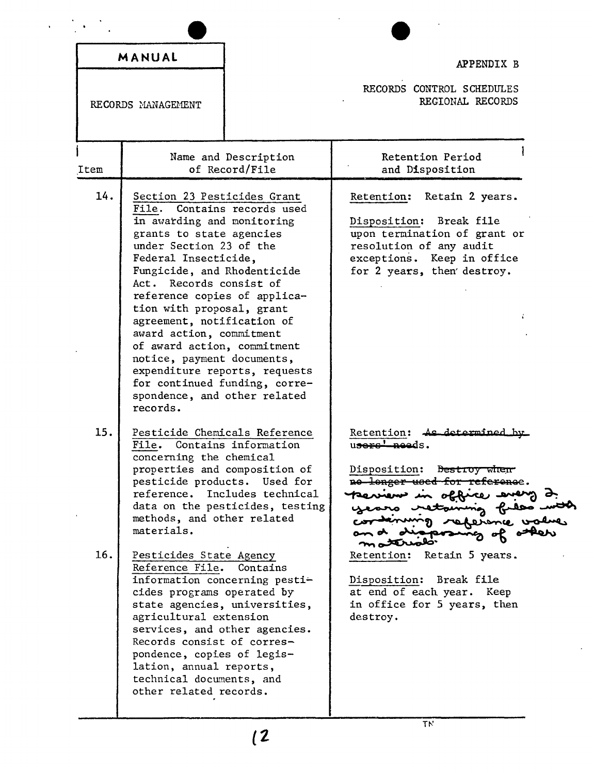| MANUAL                                                                                                                                                                                                                                                                                                                                     |                                                                                                                                                                                                                                                               | APPENDIX B                                                                                                                                                                                                                                                                                                                              |  |  |
|--------------------------------------------------------------------------------------------------------------------------------------------------------------------------------------------------------------------------------------------------------------------------------------------------------------------------------------------|---------------------------------------------------------------------------------------------------------------------------------------------------------------------------------------------------------------------------------------------------------------|-----------------------------------------------------------------------------------------------------------------------------------------------------------------------------------------------------------------------------------------------------------------------------------------------------------------------------------------|--|--|
| RECORDS MANAGEMENT                                                                                                                                                                                                                                                                                                                         |                                                                                                                                                                                                                                                               | RECORDS CONTROL SCHEDULES<br>REGIONAL RECORDS                                                                                                                                                                                                                                                                                           |  |  |
| Item                                                                                                                                                                                                                                                                                                                                       | Name and Description<br>of Record/File                                                                                                                                                                                                                        | Retention Period<br>and Disposition                                                                                                                                                                                                                                                                                                     |  |  |
| 14.<br>in awarding and monitoring<br>grants to state agencies<br>under Section 23 of the<br>Federal Insecticide,<br>Fungicide, and Rhodenticide<br>Act. Records consist of<br>tion with proposal, grant<br>agreement, notification of<br>award action, commitment<br>of award action, commitment<br>notice, payment documents,<br>records. | Section 23 Pesticides Grant<br>File. Contains records used<br>reference copies of applica-<br>expenditure reports, requests<br>for continued funding, corre-<br>spondence, and other related                                                                  | Retain 2 years.<br>Retention:<br>Disposition: Break file<br>upon termination of grant or<br>resolution of any audit<br>exceptions. Keep in office<br>for 2 years, then destroy.                                                                                                                                                         |  |  |
| 15.<br>File. Contains information<br>concerning the chemical<br>pesticide products.<br>methods, and other related<br>materials.<br>16.<br>Pesticides State Agency<br>Reference File.<br>cides programs operated by<br>agricultural extension                                                                                               | Pesticide Chemicals Reference<br>properties and composition of<br>Used for<br>reference. Includes technical<br>data on the pesticides, testing<br>Contains<br>information concerning pesti-<br>state agencies, universities,<br>services, and other agencies. | Retention: As determined by<br>users' needs.<br>Disposition: Destroy when<br>no longer used for reference.<br>terriens in office every 2.<br>years retaining files with<br>referance value<br>mattrado<br>Retention: Retain 5 years.<br>Disposition: Break file<br>at end of each year. Keep<br>in office for 5 years, then<br>destroy. |  |  |

 $\ddot{\phantom{0}}$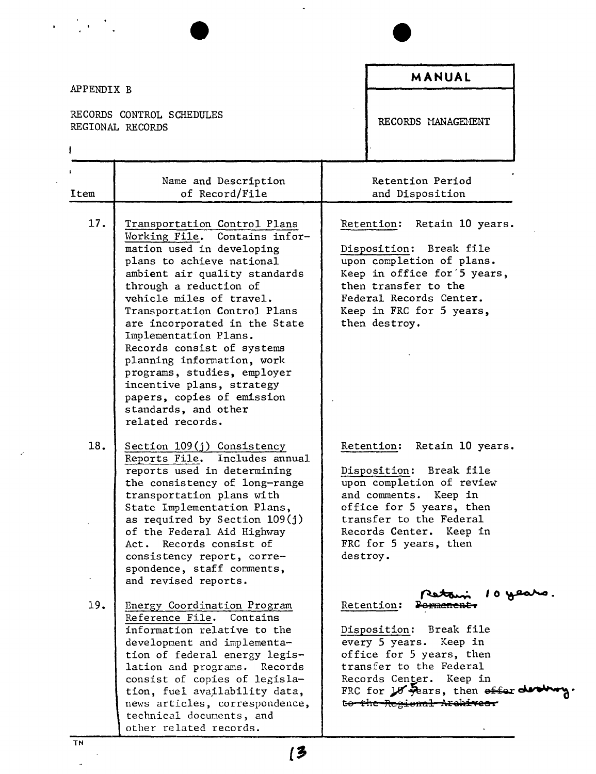| APPENDIX B                                    |                                                                                                                                                                                                                                                                                                                                                                                                                                                                                                            |          | <b>MANUAL</b>                                                                                                                                                                                                                 |
|-----------------------------------------------|------------------------------------------------------------------------------------------------------------------------------------------------------------------------------------------------------------------------------------------------------------------------------------------------------------------------------------------------------------------------------------------------------------------------------------------------------------------------------------------------------------|----------|-------------------------------------------------------------------------------------------------------------------------------------------------------------------------------------------------------------------------------|
| RECORDS CONTROL SCHEDULES<br>REGIONAL RECORDS |                                                                                                                                                                                                                                                                                                                                                                                                                                                                                                            |          | RECORDS MANAGEMENT                                                                                                                                                                                                            |
| Item                                          | Name and Description<br>of Record/File                                                                                                                                                                                                                                                                                                                                                                                                                                                                     |          | Retention Period<br>and Disposition                                                                                                                                                                                           |
| 17.                                           | Transportation Control Plans<br>Working File. Contains infor-<br>mation used in developing<br>plans to achieve national<br>ambient air quality standards<br>through a reduction of<br>vehicle miles of travel.<br>Transportation Control Plans<br>are incorporated in the State<br>Implementation Plans.<br>Records consist of systems<br>planning information, work<br>programs, studies, employer<br>incentive plans, strategy<br>papers, copies of emission<br>standards, and other<br>related records. |          | Retention: Retain 10 years.<br>Disposition: Break file<br>upon completion of plans.<br>Keep in office for 5 years,<br>then transfer to the<br>Federal Records Center.<br>Keep in FRC for 5 years,<br>then destroy.            |
| 18.                                           | Section $109(j)$ Consistency<br>Includes annual<br>Reports File.<br>reports used in determining<br>the consistency of long-range<br>transportation plans with<br>State Implementation Plans,<br>as required by Section $109(j)$<br>of the Federal Aid Highway<br>Act. Records consist of<br>consistency report, corre-<br>spondence, staff comments,<br>and revised reports.                                                                                                                               | destroy. | Retention:<br>Retain 10 years.<br>Disposition: Break file<br>upon completion of review<br>and comments.<br>Keep in<br>office for 5 years, then<br>transfer to the Federal<br>Records Center. Keep in<br>FRC for 5 years, then |
| 19.                                           | Energy Coordination Program<br>Reference File. Contains<br>information relative to the<br>development and implementa-<br>tion of federal energy legis-<br>lation and programs. Records<br>consist of copies of legisla-<br>tion, fuel availability data,<br>news articles, correspondence,<br>technical documents, and<br>other related records.                                                                                                                                                           |          | Retention:<br>Break file<br>Disposition:<br>every 5 years.<br>Keep in<br>office for 5 years, then<br>transfer to the Federal<br>Records Center. Keep in<br>FRC for $10$ years, then effer $\phi$<br>te the Regional Archives. |

 $\sim 10$ 

TN

 $\overline{\phantom{a}}$ 

 $\mathcal{S}^{\prime}$ 

 $\sqrt{3}$ 

 $\bullet$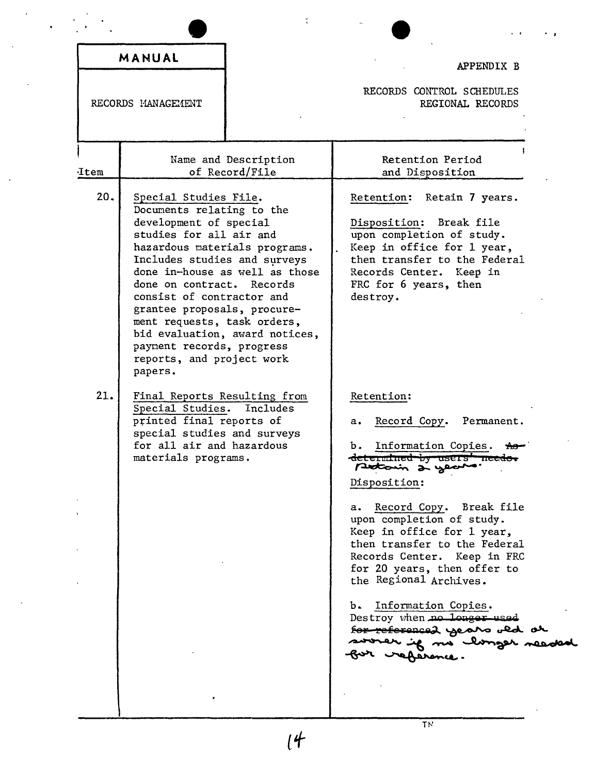|                    | MANUAL                                                                                                                                                                                                                                                                                                                                                                                                  |                                        | APPENDIX B                                                                                                                                                                                                                                                                                                                                                                                                                                                                                                                      |
|--------------------|---------------------------------------------------------------------------------------------------------------------------------------------------------------------------------------------------------------------------------------------------------------------------------------------------------------------------------------------------------------------------------------------------------|----------------------------------------|---------------------------------------------------------------------------------------------------------------------------------------------------------------------------------------------------------------------------------------------------------------------------------------------------------------------------------------------------------------------------------------------------------------------------------------------------------------------------------------------------------------------------------|
| RECORDS MANAGEMENT |                                                                                                                                                                                                                                                                                                                                                                                                         |                                        | RECORDS CONTROL SCHEDULES<br>REGIONAL RECORDS                                                                                                                                                                                                                                                                                                                                                                                                                                                                                   |
| Item               |                                                                                                                                                                                                                                                                                                                                                                                                         | Name and Description<br>of Record/File | Retention Period<br>and Disposition                                                                                                                                                                                                                                                                                                                                                                                                                                                                                             |
| 20.                | Special Studies File.<br>Documents relating to the<br>development of special<br>studies for all air and<br>hazardous materials programs.<br>Includes studies and surveys<br>done on contract. Records<br>consist of contractor and<br>grantee proposals, procure-<br>ment requests, task orders,<br>bid evaluation, award notices,<br>payment records, progress<br>reports, and project work<br>papers. | done in-house as well as those         | Retention: Retain 7 years.<br>Break file<br>Disposition:<br>upon completion of study.<br>Keep in office for 1 year,<br>then transfer to the Federal<br>Records Center. Keep in<br>FRC for 6 years, then<br>destroy.                                                                                                                                                                                                                                                                                                             |
| 21.                | Final Reports Resulting from<br>Special Studies. Includes<br>printed final reports of<br>special studies and surveys<br>for all air and hazardous<br>materials programs.                                                                                                                                                                                                                                |                                        | Retention:<br>Record Copy.<br>Permanent.<br>$a_{\bullet}$<br>Information Copies.<br>b.<br><del>determined by users' needs</del><br>petoin à year.<br>Disposition:<br>Record Copy. Break file<br>а. –<br>upon completion of study.<br>Keep in office for 1 year,<br>then transfer to the Federal<br>Records Center. Keep in FRC<br>for 20 years, then offer to<br>the Regional Archives.<br>Information Copies.<br>b.<br>Destroy when no longer used<br>for referenced years old or<br>sworer if no clouger readed<br>reference. |

 $\bar{\mathcal{A}}$ 

 $14$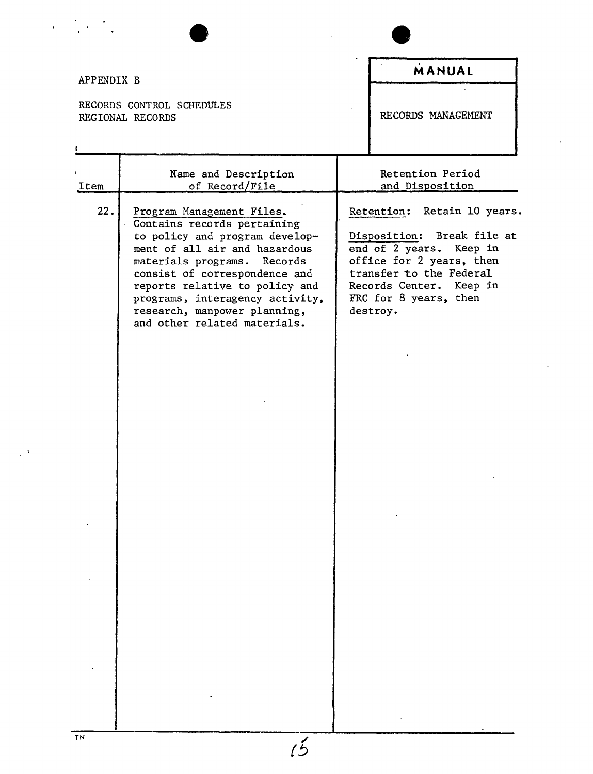| REGIONAL RECORDS<br>Item<br>22. | RECORDS CONTROL SCHEDULES<br>Name and Description<br>of Record/File<br>Program Management Files.<br>Contains records pertaining<br>to policy and program develop-<br>ment of all air and hazardous<br>materials programs. Records<br>consist of correspondence and | RECORDS MANAGEMENT<br>Retention Period<br>and Disposition<br>Retention: Retain 10 years.<br>Break file at<br>Disposition:<br>end of 2 years. Keep in<br>office for 2 years, then |
|---------------------------------|--------------------------------------------------------------------------------------------------------------------------------------------------------------------------------------------------------------------------------------------------------------------|----------------------------------------------------------------------------------------------------------------------------------------------------------------------------------|
|                                 |                                                                                                                                                                                                                                                                    |                                                                                                                                                                                  |
|                                 |                                                                                                                                                                                                                                                                    |                                                                                                                                                                                  |
|                                 | reports relative to policy and<br>programs, interagency activity,<br>research, manpower planning,<br>and other related materials.                                                                                                                                  | transfer to the Federal<br>Records Center. Keep in<br>FRC for 8 years, then<br>destroy.                                                                                          |

 $\mathcal{L}_{\mathcal{A}}$ 

 $\hat{\vec{r}}$ 

 $\ddot{\phantom{0}}$ 

 $\label{eq:2} \mathcal{A} = \frac{1}{2} \sum_{i=1}^n \mathcal{A}_i \left( \frac{1}{2} \sum_{i=1}^n \mathcal{A}_i \right)$ 

 $\mathbb{R}^{\mathbb{Z}_2}$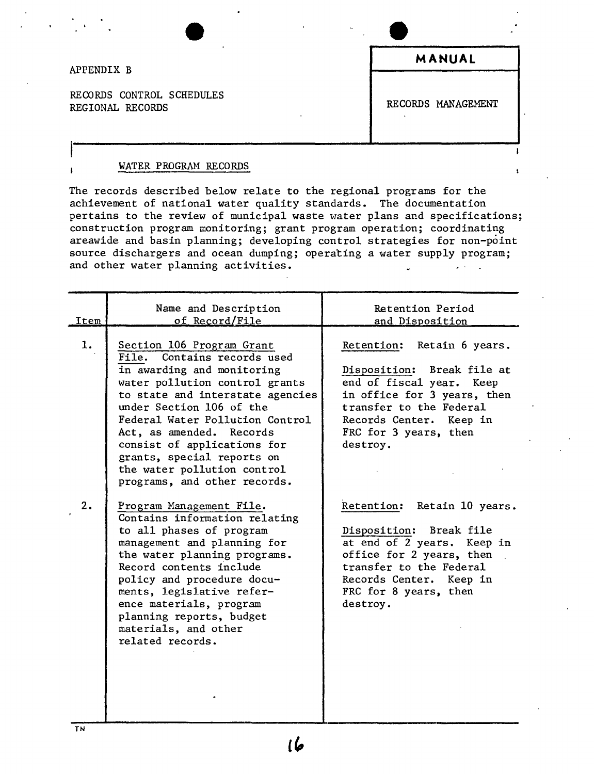#### APPENDIX B

RECORDS CONTROL SCHEDULES REGIONAL RECORDS CONTROL COMPUTER CONDUCT OF REGIONAL REGIONAL REGIONAL REGIONAL REGIONAL REGIONAL REGIONAL REGIONAL REGIONAL REGIONAL REGIONAL REGIONAL REGIONAL REGIONAL REGIONAL REGIONAL REGIONAL REGIONAL REGIONAL REGION

**MANUAL**

#### WATER PROGRAM RECORDS

The records described below relate to the regional programs for the achievement of national water quality standards. The documentation pertains to the review of municipal waste water plans and specifications; construction program monitoring; grant program operation; coordinating areawide and basin planning; developing control strategies for non-point source dischargers and ocean dumping; operating a water supply program; and other water planning activities.

| Item     | Name and Description<br>of Record/File                                                                                                                                                                                                                                                                                                                                                                          | Retention Period<br>and Disposition                                                                                                                                                                                                           |
|----------|-----------------------------------------------------------------------------------------------------------------------------------------------------------------------------------------------------------------------------------------------------------------------------------------------------------------------------------------------------------------------------------------------------------------|-----------------------------------------------------------------------------------------------------------------------------------------------------------------------------------------------------------------------------------------------|
| 1.<br>2. | Section 106 Program Grant<br>File. Contains records used<br>in awarding and monitoring<br>water pollution control grants<br>to state and interstate agencies<br>under Section 106 of the<br>Federal Water Pollution Control<br>Act, as amended. Records<br>consist of applications for<br>grants, special reports on<br>the water pollution control<br>programs, and other records.<br>Program Management File. | Retention: Retain 6 years.<br>Disposition: Break file at<br>end of fiscal year. Keep<br>in office for 3 years, then<br>transfer to the Federal<br>Records Center. Keep in<br>FRC for 3 years, then<br>destroy.<br>Retention: Retain 10 years. |
|          | Contains information relating<br>to all phases of program<br>management and planning for<br>the water planning programs.<br>Record contents include<br>policy and procedure docu-<br>ments, legislative refer-<br>ence materials, program<br>planning reports, budget<br>materials, and other<br>related records.                                                                                               | Disposition: Break file<br>at end of 2 years. Keep in<br>office for 2 years, then<br>transfer to the Federal<br>Records Center. Keep in<br>FRC for 8 years, then<br>destroy.                                                                  |

ها ا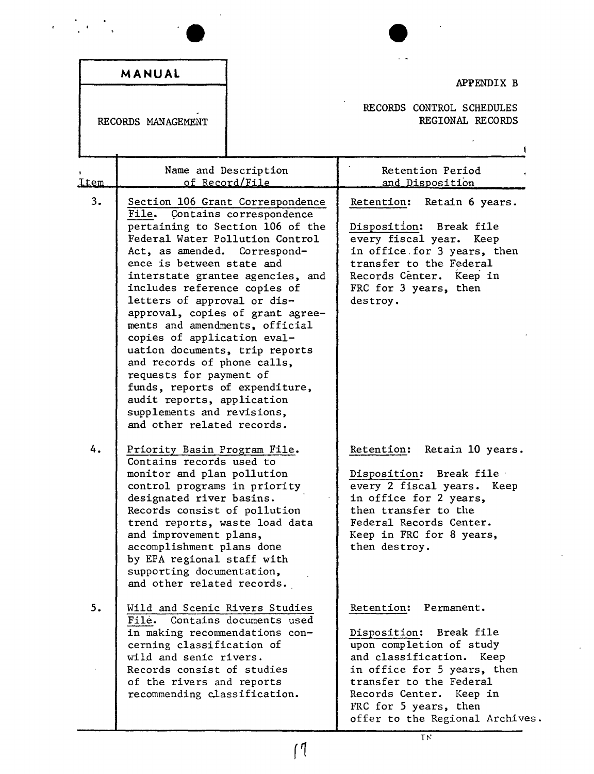| APPENDIX B                                                                                                                                                                                                                                                         | MANUAL                                                                                                                                                                                                                                                                                                                                                                                                                                                                                                                                                                                                                                          |      |
|--------------------------------------------------------------------------------------------------------------------------------------------------------------------------------------------------------------------------------------------------------------------|-------------------------------------------------------------------------------------------------------------------------------------------------------------------------------------------------------------------------------------------------------------------------------------------------------------------------------------------------------------------------------------------------------------------------------------------------------------------------------------------------------------------------------------------------------------------------------------------------------------------------------------------------|------|
| RECORDS CONTROL SCHEDULES<br>REGIONAL RECORDS                                                                                                                                                                                                                      | RECORDS MANAGEMENT                                                                                                                                                                                                                                                                                                                                                                                                                                                                                                                                                                                                                              |      |
| Retention Period<br>and Disposition                                                                                                                                                                                                                                | Name and Description<br>of Record/File                                                                                                                                                                                                                                                                                                                                                                                                                                                                                                                                                                                                          | Item |
| Retention:<br>Retain 6 years.<br>Disposition:<br>Break file<br>every fiscal year. Keep<br>in office for 3 years, then<br>transfer to the Federal<br>Records Center. Keep in<br>FRC for 3 years, then<br>destroy.                                                   | Section 106 Grant Correspondence<br><b>File.</b><br>Contains correspondence<br>pertaining to Section 106 of the<br>Federal Water Pollution Control<br>Act, as amended. Correspond-<br>ence is between state and<br>interstate grantee agencies, and<br>includes reference copies of<br>letters of approval or dis-<br>approval, copies of grant agree-<br>ments and amendments, official<br>copies of application eval-<br>uation documents, trip reports<br>and records of phone calls,<br>requests for payment of<br>funds, reports of expenditure,<br>audit reports, application<br>supplements and revisions,<br>and other related records. | 3.   |
| Retention:<br>Retain 10 years.<br>Disposition: Break file<br>every 2 fiscal years. Keep<br>in office for 2 years,<br>then transfer to the<br>Federal Records Center.<br>Keep in FRC for 8 years,<br>then destroy.                                                  | Priority Basin Program File.<br>Contains records used to<br>monitor and plan pollution<br>control programs in priority<br>designated river basins.<br>Records consist of pollution<br>trend reports, waste load data<br>and improvement plans,<br>accomplishment plans done<br>by EPA regional staff with<br>supporting documentation,<br>and other related records.                                                                                                                                                                                                                                                                            | 4.   |
| Permanent.<br>Retention:<br>Disposition: Break file<br>upon completion of study<br>and classification.<br>Keep<br>in office for 5 years, then<br>transfer to the Federal<br>Records Center.<br>Keep in<br>FRC for 5 years, then<br>offer to the Regional Archives. | Wild and Scenic Rivers Studies<br>Contains documents used<br>Filė.<br>in making recommendations con-<br>cerning classification of<br>wild and senic rivers.<br>Records consist of studies<br>of the rivers and reports<br>recommending classification.                                                                                                                                                                                                                                                                                                                                                                                          | 5.   |

 $\ddot{\phantom{0}}$ 

(1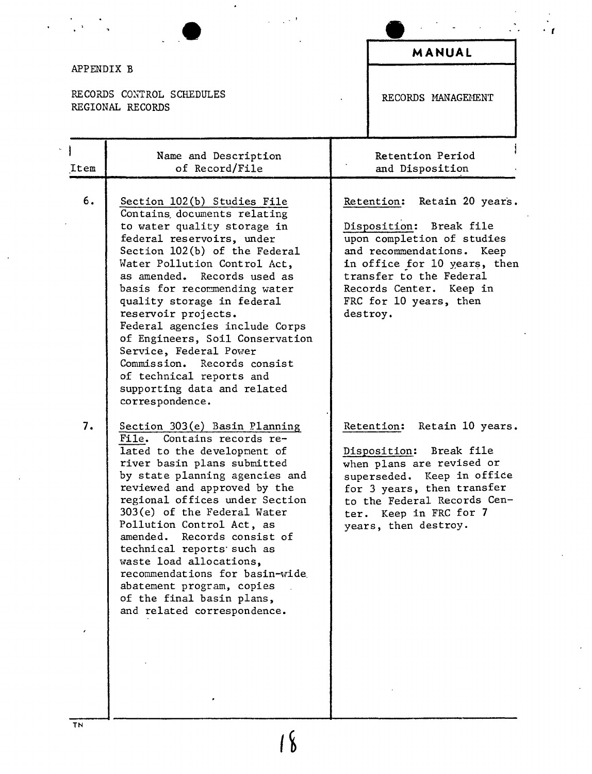|                                                             |                                                                                                                                                                                                                                                                                                                                                                                                                                                                                                                         |  | MANUAL                                                                                                                                                                                                                                        |
|-------------------------------------------------------------|-------------------------------------------------------------------------------------------------------------------------------------------------------------------------------------------------------------------------------------------------------------------------------------------------------------------------------------------------------------------------------------------------------------------------------------------------------------------------------------------------------------------------|--|-----------------------------------------------------------------------------------------------------------------------------------------------------------------------------------------------------------------------------------------------|
| APPENDIX B<br>RECORDS CONTROL SCHEDULES<br>REGIONAL RECORDS |                                                                                                                                                                                                                                                                                                                                                                                                                                                                                                                         |  | RECORDS MANAGEMENT                                                                                                                                                                                                                            |
| Item                                                        | Name and Description<br>of Record/File                                                                                                                                                                                                                                                                                                                                                                                                                                                                                  |  | Retention Period<br>and Disposition                                                                                                                                                                                                           |
| 6.                                                          | Section 102(b) Studies File<br>Contains documents relating<br>to water quality storage in<br>federal reservoirs, under<br>Section 102(b) of the Federal<br>Water Pollution Control Act,<br>as amended. Records used as<br>basis for recommending water<br>quality storage in federal<br>reservoir projects.<br>Federal agencies include Corps<br>of Engineers, Soil Conservation<br>Service, Federal Power<br>Commission. Records consist<br>of technical reports and<br>supporting data and related<br>correspondence. |  | Retention: Retain 20 years.<br>Disposition: Break file<br>upon completion of studies<br>and recommendations. Keep<br>in office for 10 years, then<br>transfer to the Federal<br>Records Center. Keep in<br>FRC for 10 years, then<br>destroy. |
| 7.                                                          | Section 303(e) Basin Planning<br>File. Contains records re-<br>lated to the development of<br>river basin plans submitted<br>by state planning agencies and<br>reviewed and approved by the<br>regional offices under Section<br>303(e) of the Federal Water<br>Pollution Control Act, as<br>amended. Records consist of<br>technical reports such as<br>waste load allocations,<br>recommendations for basin-wide<br>abatement program, copies<br>of the final basin plans,<br>and related correspondence.             |  | Retain 10 years.<br>Retention:<br>Disposition: Break file<br>when plans are revised or<br>superseded. Keep in office<br>for 3 years, then transfer<br>to the Federal Records Cen-<br>ter. Keep in FRC for 7<br>years, then destroy.           |

*. t*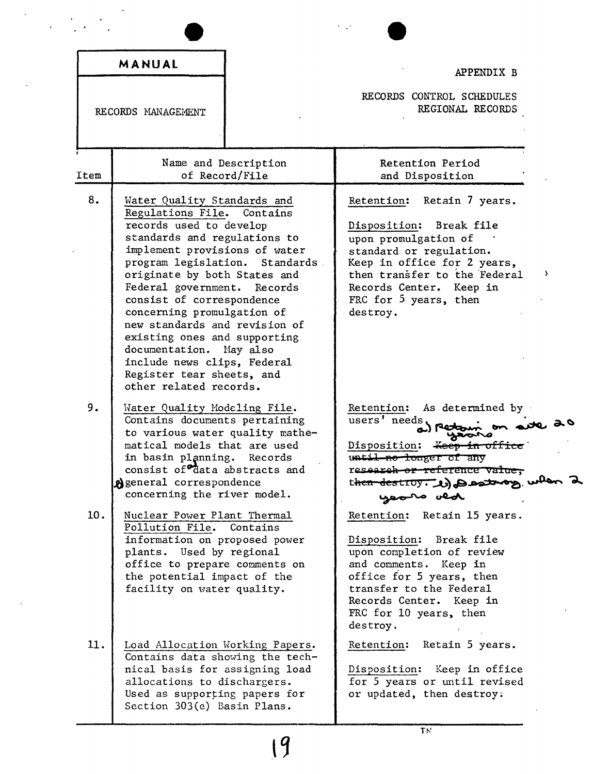|      | MANUAL                                                                                                                                                                                                                                                                                                                                                                                                                                                                                               | APPENDIX B                                                                                                                                                                                                                              |
|------|------------------------------------------------------------------------------------------------------------------------------------------------------------------------------------------------------------------------------------------------------------------------------------------------------------------------------------------------------------------------------------------------------------------------------------------------------------------------------------------------------|-----------------------------------------------------------------------------------------------------------------------------------------------------------------------------------------------------------------------------------------|
|      | RECORDS MANAGEMENT                                                                                                                                                                                                                                                                                                                                                                                                                                                                                   | RECORDS CONTROL SCHEDULES<br>REGIONAL RECORDS                                                                                                                                                                                           |
| Item | Name and Description<br>of Record/File                                                                                                                                                                                                                                                                                                                                                                                                                                                               | Retention Period<br>and Disposition                                                                                                                                                                                                     |
| 8.   | Water Quality Standards and<br>Regulations File. Contains<br>records used to develop<br>standards and regulations to<br>implement provisions of water<br>program legislation. Standards.<br>originate by both States and<br>Federal government. Records<br>consist of correspondence<br>concerning promulgation of<br>new standards and revision of<br>existing ones and supporting<br>documentation. May also<br>include news clips, Federal<br>Register tear sheets, and<br>other related records. | Retention: Retain 7 years.<br>Disposition: Break file<br>upon promulgation of<br>standard or regulation.<br>Keep in office for 2 years,<br>then transfer to the Federal<br>Records Center. Keep in<br>FRC for 5 years, then<br>destroy. |
| 9.   | Water Quality Modeling File.<br>Contains documents pertaining<br>to various water quality mathe-<br>matical models that are used<br>in basin planning.<br>Records<br>consist of <sup>o</sup> data abstracts and<br>Ageneral correspondence<br>concerning the river model.                                                                                                                                                                                                                            | Retention:<br>As determined by .<br>users' needs,<br>Disposition: Keep in office<br>until no longer of any<br>research or reference value,<br>then destroy. We can then<br>yeoro ved                                                    |
| 10.  | Nuclear Power Plant Thermal<br>Pollution File.<br>Contains<br>information on proposed power<br>plants. Used by regional<br>office to prepare comments on<br>the potential impact of the<br>facility on water quality.                                                                                                                                                                                                                                                                                | Retention: Retain 15 years.<br>Disposition: Break file<br>upon completion of review<br>and comments. Keep in<br>office for 5 years, then<br>transfer to the Federal<br>Records Center. Keep in<br>FRC for 10 years, then<br>destroy.    |
| 11.  | Load Allocation Working Papers.<br>Contains data showing the tech-<br>nical basis for assigning load<br>allocations to dischargers.<br>Used as supporting papers for                                                                                                                                                                                                                                                                                                                                 | Retention: Retain 5 years.<br>Disposition: Keep in office<br>for 5 years or until revised<br>or updated, then destroy.                                                                                                                  |

i,

 $\overline{T}$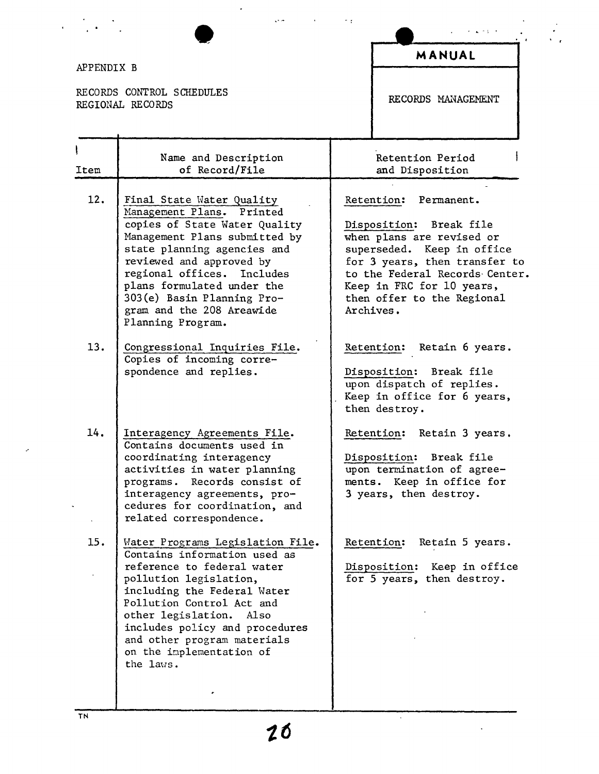| APPENDIX B |                                                                                                                                                                                                                                                                                                                                    |                                                                                                                                                                                                                                                                                                                                                                                                                                                                                                                                                        | MANUAL                                                                                     |
|------------|------------------------------------------------------------------------------------------------------------------------------------------------------------------------------------------------------------------------------------------------------------------------------------------------------------------------------------|--------------------------------------------------------------------------------------------------------------------------------------------------------------------------------------------------------------------------------------------------------------------------------------------------------------------------------------------------------------------------------------------------------------------------------------------------------------------------------------------------------------------------------------------------------|--------------------------------------------------------------------------------------------|
|            | RECORDS CONTROL SCHEDULES<br>REGIONAL RECORDS                                                                                                                                                                                                                                                                                      |                                                                                                                                                                                                                                                                                                                                                                                                                                                                                                                                                        | RECORDS MANAGEMENT                                                                         |
| Item       | Name and Description<br>of Record/File                                                                                                                                                                                                                                                                                             |                                                                                                                                                                                                                                                                                                                                                                                                                                                                                                                                                        | Retention Period<br>and Disposition                                                        |
| 12.        | Final State Water Quality<br>Management Plans. Printed<br>copies of State Water Quality<br>Management Plans submitted by<br>state planning agencies and<br>reviewed and approved by<br>regional offices.<br>Includes<br>plans formulated under the<br>303(e) Basin Planning Pro-<br>gram and the 208 Areawide<br>Planning Program. | Retention:<br>Permanent.<br>Disposition: Break file<br>when plans are revised or<br>superseded. Keep in office<br>for 3 years, then transfer to<br>to the Federal Records Center.<br>Keep in FRC for 10 years,<br>then offer to the Regional<br>Archives.<br>Retention: Retain 6 years.<br>Break file<br>Disposition:<br>upon dispatch of replies.<br>Keep in office for 6 years,<br>then destroy.<br>Retention:<br>Retain 3 years.<br>Break file<br>Disposition:<br>upon termination of agree-<br>ments. Keep in office for<br>3 years, then destroy. |                                                                                            |
| 13.        | Congressional Inquiries File.<br>Copies of incoming corre-<br>spondence and replies.                                                                                                                                                                                                                                               |                                                                                                                                                                                                                                                                                                                                                                                                                                                                                                                                                        |                                                                                            |
| 14.        | Interagency Agreements File.<br>Contains documents used in<br>coordinating interagency<br>activities in water planning<br>programs. Records consist of<br>interagency agreements, pro-<br>cedures for coordination, and<br>related correspondence.                                                                                 |                                                                                                                                                                                                                                                                                                                                                                                                                                                                                                                                                        |                                                                                            |
| 15.        | Water Programs Legislation File.<br>Contains information used as<br>reference to federal water<br>pollution legislation,<br>including the Federal Water<br>Pollution Control Act and<br>other legislation. Also<br>includes policy and procedures<br>and other program materials<br>on the implementation of<br>the laws.          |                                                                                                                                                                                                                                                                                                                                                                                                                                                                                                                                                        | Retain 5 years.<br>Retention:<br>Disposition: Keep in office<br>for 5 years, then destroy. |

 $\frac{1}{\sqrt{2}}$ 

 $\bar{\gamma}$ 

 $\ddot{\phantom{0}}$ 

J.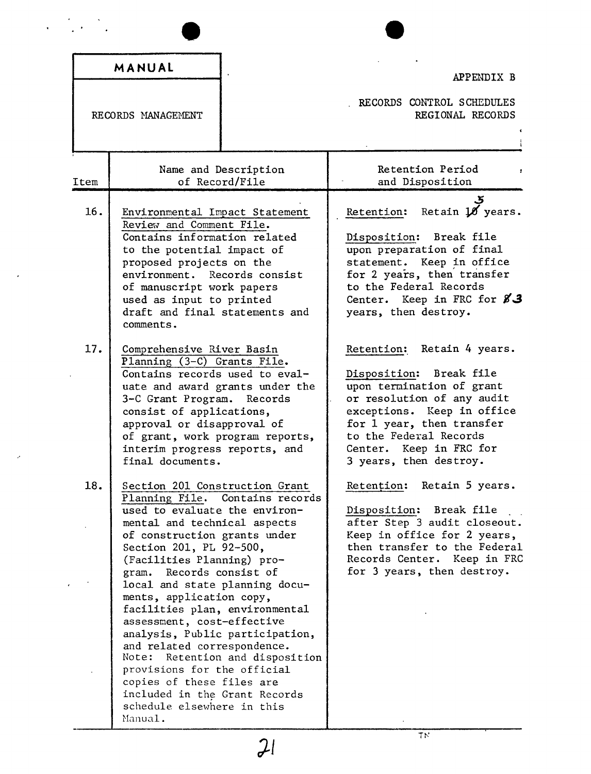|            | MANUAL                                                                                                                                                                                                                                                                                                                                                                                                                                                                                                                                                                                                                                    | APPENDIX B                                                                                                                                                                                                                                                                                                                                                                                                                                                                    |
|------------|-------------------------------------------------------------------------------------------------------------------------------------------------------------------------------------------------------------------------------------------------------------------------------------------------------------------------------------------------------------------------------------------------------------------------------------------------------------------------------------------------------------------------------------------------------------------------------------------------------------------------------------------|-------------------------------------------------------------------------------------------------------------------------------------------------------------------------------------------------------------------------------------------------------------------------------------------------------------------------------------------------------------------------------------------------------------------------------------------------------------------------------|
|            | RECORDS MANAGEMENT                                                                                                                                                                                                                                                                                                                                                                                                                                                                                                                                                                                                                        | RECORDS CONTROL SCHEDULES<br>REGIONAL RECORDS                                                                                                                                                                                                                                                                                                                                                                                                                                 |
| Item       | Name and Description<br>of Record/File                                                                                                                                                                                                                                                                                                                                                                                                                                                                                                                                                                                                    | Retention Period<br>and Disposition                                                                                                                                                                                                                                                                                                                                                                                                                                           |
| 16.<br>17. | Environmental Impact Statement<br>Review and Comment File.<br>Contains information related<br>to the potential impact of<br>proposed projects on the<br>environment. Records consist<br>of manuscript work papers<br>used as input to printed<br>draft and final statements and<br>comments.<br>Comprehensive River Basin<br>Planning (3-C) Grants File.<br>Contains records used to eval-<br>uate and award grants under the<br>3-C Grant Program. Records<br>consist of applications,<br>approval or disapproval of<br>of grant, work program reports,<br>interim progress reports, and                                                 | Retain 10 years.<br>Retention:<br>Break file<br>Disposition:<br>upon preparation of final<br>statement. Keep in office<br>for 2 years, then transfer<br>to the Federal Records<br>Center. Keep in FRC for $83$<br>years, then destroy.<br>Retain 4 years.<br>Retention:<br>Disposition: Break file<br>upon termination of grant<br>or resolution of any audit<br>exceptions. Keep in office<br>for 1 year, then transfer<br>to the Federal Records<br>Center. Keep in FRC for |
| 18.        | final documents.<br>Section 201 Construction Grant<br>Planning File. Contains records<br>used to evaluate the environ-<br>mental and technical aspects<br>of construction grants under<br>Section 201, PL 92-500,<br>(Facilities Planning) pro-<br>gram. Records consist of<br>local and state planning docu-<br>ments, application copy,<br>facilities plan, environmental<br>assessment, cost-effective<br>analysis, Public participation,<br>and related correspondence.<br>Note: Retention and disposition<br>provisions for the official<br>copies of these files are<br>included in the Grant Records<br>schedule elsewhere in this | 3 years, then destroy.<br>Retențion: Retain 5 years.<br>Disposition: Break file<br>after Step 3 audit closeout.<br>Keep in office for 2 years,<br>then transfer to the Federal<br>Records Center. Keep in FRC<br>for 3 years, then destroy.                                                                                                                                                                                                                                   |

 $\langle \rangle$ 

 $\sim$ 

**]1**

 $\overline{T}N$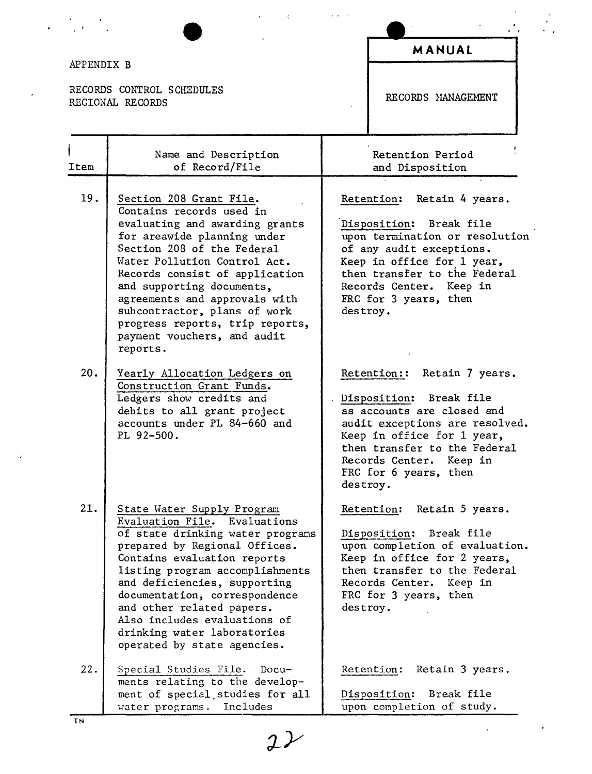| APPENDIX B |                                                                                                                                                                                                                                                                                                                                                                                                  |          | <b>MANUAL</b>                                                                                                                                                                                                                               |
|------------|--------------------------------------------------------------------------------------------------------------------------------------------------------------------------------------------------------------------------------------------------------------------------------------------------------------------------------------------------------------------------------------------------|----------|---------------------------------------------------------------------------------------------------------------------------------------------------------------------------------------------------------------------------------------------|
|            | RECORDS CONTROL SCHEDULES<br>REGIONAL RECORDS                                                                                                                                                                                                                                                                                                                                                    |          | RECORDS MANAGEMENT                                                                                                                                                                                                                          |
| Item       | Name and Description<br>of Record/File                                                                                                                                                                                                                                                                                                                                                           |          | Retention Period<br>and Disposition                                                                                                                                                                                                         |
| 19.        | Section 208 Grant File.<br>Contains records used in<br>evaluating and awarding grants<br>for areawide planning under<br>Section 208 of the Federal<br>Water Pollution Control Act.<br>Records consist of application<br>and supporting documents,<br>agreements and approvals with<br>subcontractor, plans of work<br>progress reports, trip reports,<br>payment vouchers, and audit<br>reports. | destroy. | Retention: Retain 4 years.<br>Disposition: Break file<br>upon termination or resolution<br>of any audit exceptions.<br>Keep in office for 1 year,<br>then transfer to the Federal<br>Records Center. Keep in<br>FRC for 3 years, then       |
| 20.        | Yearly Allocation Ledgers on<br>Construction Grant Funds.<br>Ledgers show credits and<br>debits to all grant project<br>accounts under PL 84-660 and<br>PL 92-500.                                                                                                                                                                                                                               | destroy. | Retention:: Retain 7 years.<br>Disposition: Break file<br>as accounts are closed and<br>audit exceptions are resolved.<br>Keep in office for 1 year,<br>then transfer to the Federal<br>Records Center.<br>Keep in<br>FRC for 6 years, then |
| 21.        | State Water Supply Program<br>Evaluation File. Evaluations<br>of state drinking water programs<br>prepared by Regional Offices.<br>Contains evaluation reports<br>listing program accomplishments<br>and deficiencies, supporting<br>documentation, correspondence<br>and other related papers.<br>Also includes evaluations of<br>drinking water laboratories<br>operated by state agencies.    | destroy. | Retain 5 years.<br>Retention:<br>Disposition: Break file<br>upon completion of evaluation.<br>Keep in office for 2 years,<br>then transfer to the Federal<br>Records Center. Keep in<br>FRC for 3 years, then                               |
| 22.        | Special Studies File. Docu-<br>ments relating to the develop-<br>ment of special studies for all<br>water programs. Includes                                                                                                                                                                                                                                                                     |          | Retention: Retain 3 years.<br>Disposition: Break file<br>upon completion of study.                                                                                                                                                          |

 $22$ 

 $\sim$   $\omega$ 

..

 $\mathcal{L}^{\text{max}}(\mathcal{L}^{\text{max}})$  , where  $\mathcal{L}^{\text{max}}$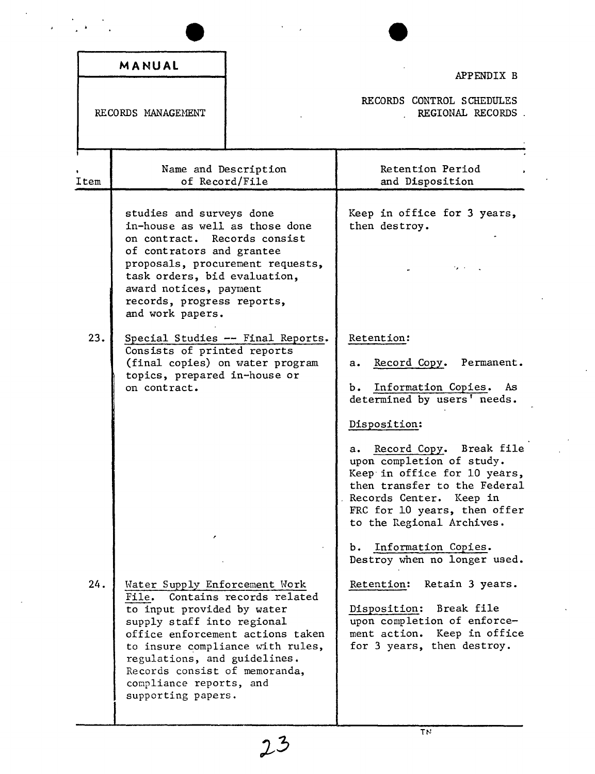|      | MANUAL                                                                                                                                                                                                                                                                  |                                                                                                  |                                                                                                                                                                                                                                                                                                                                                            |
|------|-------------------------------------------------------------------------------------------------------------------------------------------------------------------------------------------------------------------------------------------------------------------------|--------------------------------------------------------------------------------------------------|------------------------------------------------------------------------------------------------------------------------------------------------------------------------------------------------------------------------------------------------------------------------------------------------------------------------------------------------------------|
|      |                                                                                                                                                                                                                                                                         |                                                                                                  | APPENDIX B                                                                                                                                                                                                                                                                                                                                                 |
|      | RECORDS MANAGEMENT                                                                                                                                                                                                                                                      |                                                                                                  | RECORDS CONTROL SCHEDULES<br>REGIONAL RECORDS.                                                                                                                                                                                                                                                                                                             |
| Item | Name and Description<br>of Record/File                                                                                                                                                                                                                                  |                                                                                                  | Retention Period<br>and Disposition                                                                                                                                                                                                                                                                                                                        |
|      | studies and surveys done<br>in-house as well as those done<br>on contract. Records consist<br>of contrators and grantee<br>proposals, procurement requests,<br>task orders, bid evaluation,<br>award notices, payment<br>records, progress reports,<br>and work papers. |                                                                                                  | Keep in office for 3 years,<br>then destroy.                                                                                                                                                                                                                                                                                                               |
| 23.  | Consists of printed reports<br>(final copies) on water program<br>topics, prepared in-house or<br>on contract.                                                                                                                                                          | Special Studies -- Final Reports.                                                                | Retention:<br>Record Copy. Permanent.<br>$\mathbf{a}$ .<br>b. Information Copies.<br>As.<br>determined by users' needs.<br>Disposition:<br>a. Record Copy. Break file<br>upon completion of study.<br>Keep in office for 10 years,<br>then transfer to the Federal<br>Records Center. Keep in<br>FRC for 10 years, then offer<br>to the Regional Archives. |
| 24.  | Water Supply Enforcement Work<br>File.<br>to input provided by water<br>supply staff into regional<br>regulations, and guidelines.<br>Records consist of memoranda,<br>compliance reports, and<br>supporting papers.                                                    | Contains records related<br>office enforcement actions taken<br>to insure compliance with rules, | Information Copies.<br>ъ.<br>Destroy when no longer used.<br>Retention:<br>Retain 3 years.<br>Break file<br>Disposition:<br>upon completion of enforce-<br>ment action. Keep in office<br>for 3 years, then destroy.                                                                                                                                       |

 $\label{eq:2} \frac{1}{2} \left( \frac{1}{2} \sum_{i=1}^n \frac{1}{2} \sum_{j=1}^n \frac{1}{2} \sum_{j=1}^n \frac{1}{2} \sum_{j=1}^n \frac{1}{2} \sum_{j=1}^n \frac{1}{2} \sum_{j=1}^n \frac{1}{2} \sum_{j=1}^n \frac{1}{2} \sum_{j=1}^n \frac{1}{2} \sum_{j=1}^n \frac{1}{2} \sum_{j=1}^n \frac{1}{2} \sum_{j=1}^n \frac{1}{2} \sum_{j=1}^n \frac{1}{2} \sum_{j$ 

 $23$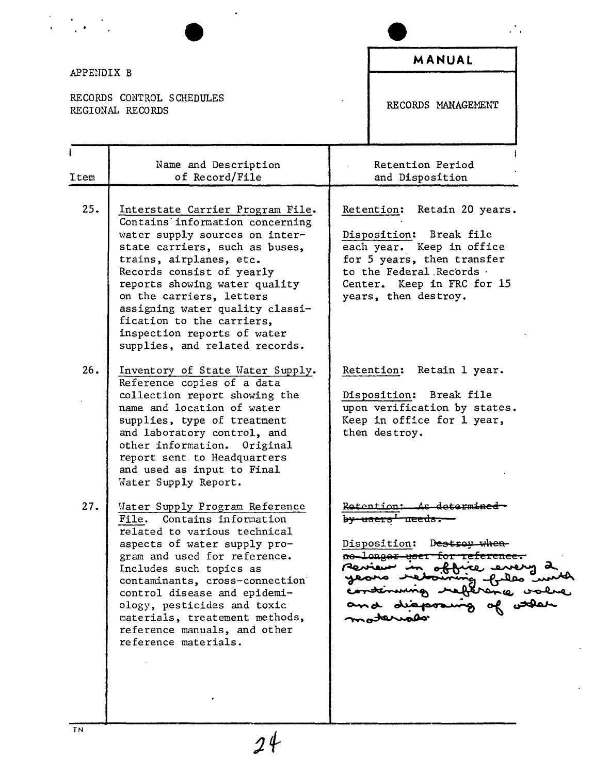| APPENDIX B |                                                                                                                                                                                                                                                                                                                                                                                               | MANUAL                                                                                                                                                                                                |
|------------|-----------------------------------------------------------------------------------------------------------------------------------------------------------------------------------------------------------------------------------------------------------------------------------------------------------------------------------------------------------------------------------------------|-------------------------------------------------------------------------------------------------------------------------------------------------------------------------------------------------------|
|            | RECORDS CONTROL SCHEDULES<br>REGIONAL RECORDS                                                                                                                                                                                                                                                                                                                                                 | RECORDS MANAGEMENT                                                                                                                                                                                    |
| Item       | Name and Description<br>of Record/File                                                                                                                                                                                                                                                                                                                                                        | Retention Period<br>and Disposition                                                                                                                                                                   |
| 25.        | Interstate Carrier Program File.<br>Contains information concerning<br>water supply sources on inter-<br>state carriers, such as buses,<br>trains, airplanes, etc.<br>Records consist of yearly<br>reports showing water quality<br>on the carriers, letters<br>assigning water quality classi-<br>fication to the carriers,<br>inspection reports of water<br>supplies, and related records. | Retention: Retain 20 years.<br>Break file<br>Disposition:<br>each year. Keep in office<br>for 5 years, then transfer<br>to the Federal Records.<br>Center. Keep in FRC for 15<br>years, then destroy. |
| 26.        | Inventory of State Water Supply.<br>Reference copies of a data<br>collection report showing the<br>name and location of water<br>supplies, type of treatment<br>and laboratory control, and<br>other information.<br>Original<br>report sent to Headquarters<br>and used as input to Final<br>Water Supply Report.                                                                            | Retention: Retain 1 year.<br>Disposition: Break file<br>upon verification by states.<br>Keep in office for 1 year,<br>then destroy.                                                                   |
| 27.        | Mater Supply Program Reference<br>File. Contains information<br>related to various technical<br>aspects of water supply pro-<br>gram and used for reference.<br>Includes such topics as<br>contaminants, cross-connection<br>control disease and epidemi-<br>ology, pesticides and toxic<br>materials, treatement methods,<br>reference manuals, and other<br>reference materials.            | Retention:<br><del>by users </del><br><del>neeus</del><br>Disposition:<br>D <del>estron when</del><br><del>ne longer user for r</del> e                                                               |

 $\frac{1}{24}$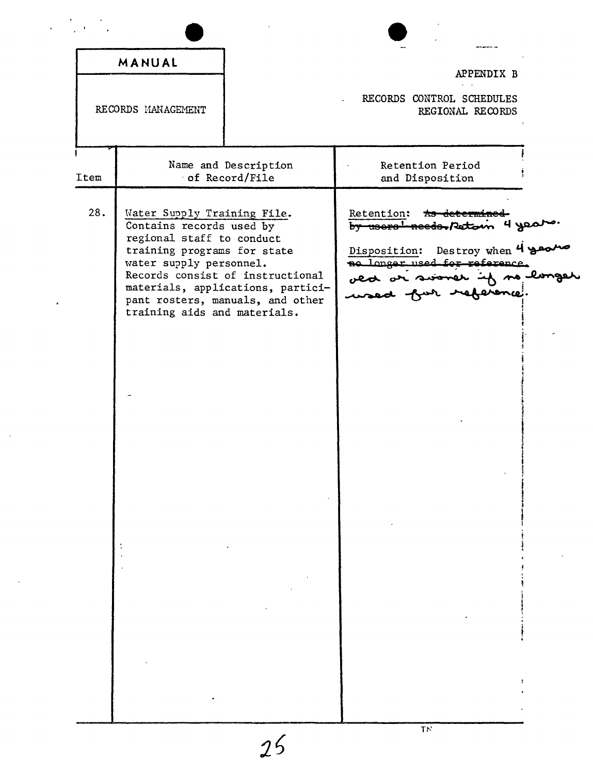|                    | MANUAL                                                                                                                                                                         |                                                                                                           | APPENDIX B                                                                                                                                      |
|--------------------|--------------------------------------------------------------------------------------------------------------------------------------------------------------------------------|-----------------------------------------------------------------------------------------------------------|-------------------------------------------------------------------------------------------------------------------------------------------------|
| RECORDS MANAGEMENT |                                                                                                                                                                                |                                                                                                           | RECORDS CONTROL SCHEDULES<br>REGIONAL RECORDS                                                                                                   |
| Item               |                                                                                                                                                                                | Name and Description<br>of Record/File                                                                    | Retention Period<br>and Disposition                                                                                                             |
| 28.                | Water Supply Training File.<br>Contains records used by<br>regional staff to conduct<br>training programs for state<br>water supply personnel.<br>training aids and materials. | Records consist of instructional<br>materials, applications, partici-<br>pant rosters, manuals, and other | Retention:<br>by users needs, Retoin 4 years<br>Disposition: Destroy when 4 year<br>no longer used for reference.<br>ved ar svorer if no longer |

 $\bar{z}$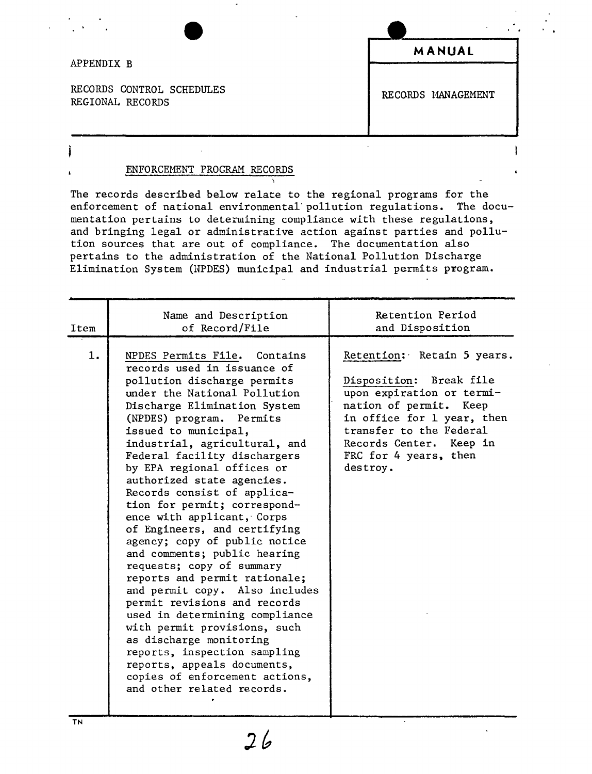#### APPENDIX B

RECORDS CONTROL SCHEDULES RECORDS 11ANAGEMENT REGIONAL RECORDS

**MANUAL**

 $\ddot{\phantom{a}}$ 

### ENFORCEMENT PROGRAM RECORDS

The records described below relate to the regional programs for the enforcement of national environmental· pollution regulations. The documentation pertains to determining compliance with these regulations, and bringing legal or administrative action against parties and pollution sources that are out of compliance. The documentation also pertains to the administration of the National Pollution Discharge Elimination System (NPDES) municipal and industrial permits program.

| Item | Name and Description<br>of Record/File                                                                                                                                                                                                                                                                                                                                                                                                                                                                                                                                                                                                                                                                                                                                                                                                                                                                   | Retention Period<br>and Disposition                                                                                                                                                                                                   |
|------|----------------------------------------------------------------------------------------------------------------------------------------------------------------------------------------------------------------------------------------------------------------------------------------------------------------------------------------------------------------------------------------------------------------------------------------------------------------------------------------------------------------------------------------------------------------------------------------------------------------------------------------------------------------------------------------------------------------------------------------------------------------------------------------------------------------------------------------------------------------------------------------------------------|---------------------------------------------------------------------------------------------------------------------------------------------------------------------------------------------------------------------------------------|
| 1.   | NPDES Permits File. Contains<br>records used in issuance of<br>pollution discharge permits<br>under the National Pollution<br>Discharge Elimination System<br>(NPDES) program.<br>Permits<br>issued to municipal,<br>industrial, agricultural, and<br>Federal facility dischargers<br>by EPA regional offices or<br>authorized state agencies.<br>Records consist of applica-<br>tion for permit; correspond-<br>ence with applicant, Corps<br>of Engineers, and certifying<br>agency; copy of public notice<br>and comments; public hearing<br>requests; copy of summary<br>reports and permit rationale;<br>and permit copy. Also includes<br>permit revisions and records<br>used in determining compliance<br>with permit provisions, such<br>as discharge monitoring<br>reports, inspection sampling<br>reports, appeals documents,<br>copies of enforcement actions,<br>and other related records. | Retention: Retain 5 years.<br>Disposition: Break file<br>upon expiration or termi-<br>nation of permit. Keep<br>in office for 1 year, then<br>transfer to the Federal<br>Records Center. Keep in<br>FRC for 4 years, then<br>destroy. |

 $2b$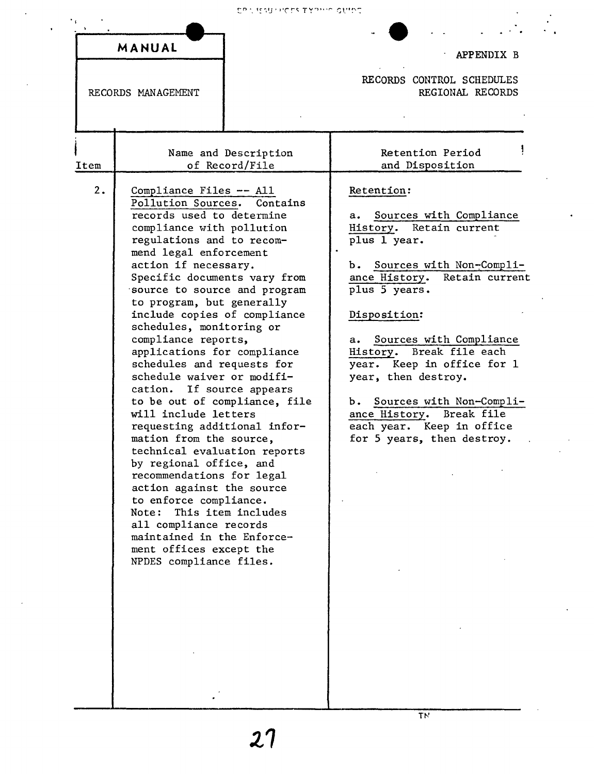Childrenes Thomas Danc

 $\ddot{\phantom{0}}$ 

 $\begin{array}{c} \mathcal{L}_1 \\ \mathcal{L}_2 \end{array}$ 

|      | MANUAL                                                                                                                                                                                                                                                                                                                                                                                                                                                                                                                                                                                                                                                                                                                                                                                                                                                                                   |                                               | APPENDIX B                                                                                                                                                                                                                                                                                                                                                                                                                             |
|------|------------------------------------------------------------------------------------------------------------------------------------------------------------------------------------------------------------------------------------------------------------------------------------------------------------------------------------------------------------------------------------------------------------------------------------------------------------------------------------------------------------------------------------------------------------------------------------------------------------------------------------------------------------------------------------------------------------------------------------------------------------------------------------------------------------------------------------------------------------------------------------------|-----------------------------------------------|----------------------------------------------------------------------------------------------------------------------------------------------------------------------------------------------------------------------------------------------------------------------------------------------------------------------------------------------------------------------------------------------------------------------------------------|
|      | RECORDS MANAGEMENT                                                                                                                                                                                                                                                                                                                                                                                                                                                                                                                                                                                                                                                                                                                                                                                                                                                                       | RECORDS CONTROL SCHEDULES<br>REGIONAL RECORDS |                                                                                                                                                                                                                                                                                                                                                                                                                                        |
| Item |                                                                                                                                                                                                                                                                                                                                                                                                                                                                                                                                                                                                                                                                                                                                                                                                                                                                                          | Name and Description<br>of Record/File        | Retention Period<br>and Disposition                                                                                                                                                                                                                                                                                                                                                                                                    |
| 2.   | Compliance Files -- All<br>Pollution Sources.<br>records used to determine<br>compliance with pollution<br>regulations and to recom-<br>mend legal enforcement<br>action if necessary.<br>Specific documents vary from<br>source to source and program<br>to program, but generally<br>include copies of compliance<br>schedules, monitoring or<br>compliance reports,<br>applications for compliance<br>schedules and requests for<br>schedule waiver or modifi-<br>cation. If source appears<br>to be out of compliance, file<br>will include letters<br>requesting additional infor-<br>mation from the source,<br>technical evaluation reports<br>by regional office, and<br>recommendations for legal<br>action against the source<br>to enforce compliance.<br>Note:<br>all compliance records<br>maintained in the Enforce-<br>ment offices except the<br>NPDES compliance files. | Contains<br>This item includes                | Retention:<br>Sources with Compliance<br>а.<br>History.<br>Retain current<br>plus 1 year.<br>b. Sources with Non-Compli-<br>ance History.<br>Retain current<br>plus 5 years.<br>Disposition:<br>Sources with Compliance<br>а. –<br>History. Break file each<br>year. Keep in office for 1<br>year, then destroy.<br>b. Sources with Non-Compli-<br>ance History. Break file<br>each year. Keep in office<br>for 5 years, then destroy. |

 $\overline{T}N$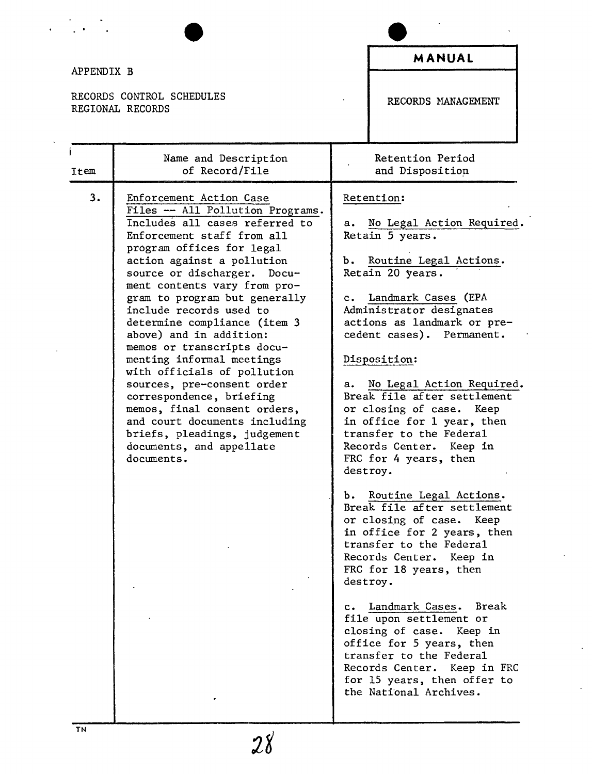| APPENDIX B |                                                                                                                                                                                                                                                                                                                                                                                                                                                                                                                                                                                                                                                                             |                                     | MANUAL                                                                                                                                                                                                                                                                                                                                                                                                                                                                                                                                                                                                                                                                                                                                                                                                                                                                                                        |
|------------|-----------------------------------------------------------------------------------------------------------------------------------------------------------------------------------------------------------------------------------------------------------------------------------------------------------------------------------------------------------------------------------------------------------------------------------------------------------------------------------------------------------------------------------------------------------------------------------------------------------------------------------------------------------------------------|-------------------------------------|---------------------------------------------------------------------------------------------------------------------------------------------------------------------------------------------------------------------------------------------------------------------------------------------------------------------------------------------------------------------------------------------------------------------------------------------------------------------------------------------------------------------------------------------------------------------------------------------------------------------------------------------------------------------------------------------------------------------------------------------------------------------------------------------------------------------------------------------------------------------------------------------------------------|
|            | RECORDS CONTROL SCHEDULES<br>REGIONAL RECORDS                                                                                                                                                                                                                                                                                                                                                                                                                                                                                                                                                                                                                               |                                     | RECORDS MANAGEMENT                                                                                                                                                                                                                                                                                                                                                                                                                                                                                                                                                                                                                                                                                                                                                                                                                                                                                            |
| Item       | Name and Description<br>of Record/File                                                                                                                                                                                                                                                                                                                                                                                                                                                                                                                                                                                                                                      |                                     | Retention Period<br>and Disposition                                                                                                                                                                                                                                                                                                                                                                                                                                                                                                                                                                                                                                                                                                                                                                                                                                                                           |
| 3.         | Enforcement Action Case<br>Files -- All Pollution Programs.<br>Includes all cases referred to<br>Enforcement staff from all<br>program offices for legal<br>action against a pollution<br>source or discharger. Docu-<br>ment contents vary from pro-<br>gram to program but generally<br>include records used to<br>determine compliance (item 3<br>above) and in addition:<br>memos or transcripts docu-<br>menting informal meetings<br>with officials of pollution<br>sources, pre-consent order<br>correspondence, briefing<br>memos, final consent orders,<br>and court documents including<br>briefs, pleadings, judgement<br>documents, and appellate<br>documents. | а.<br>Ъ.<br>$c_{\star}$<br>а.<br>ъ. | Retention:<br>No Legal Action Required.<br>Retain 5 years.<br>Routine Legal Actions.<br>Retain 20 years.<br>Landmark Cases (EPA<br>Administrator designates<br>actions as landmark or pre-<br>cedent cases). Permanent.<br>Disposition:<br>No Legal Action Required.<br>Break file after settlement<br>or closing of case. Keep<br>in office for 1 year, then<br>transfer to the Federal<br>Records Center. Keep in<br>FRC for 4 years, then<br>destroy.<br>Routine Legal Actions.<br>Break file after settlement<br>or closing of case.<br>Keep<br>in office for 2 years, then<br>transfer to the Federal<br>Records Center. Keep in<br>FRC for 18 years, then<br>destroy.<br>c. Landmark Cases. Break<br>file upon settlement or<br>closing of case. Keep in<br>office for 5 years, then<br>transfer to the Federal<br>Records Center. Keep in FRC<br>for 15 years, then offer to<br>the National Archives. |

 $\ddot{\phantom{1}}$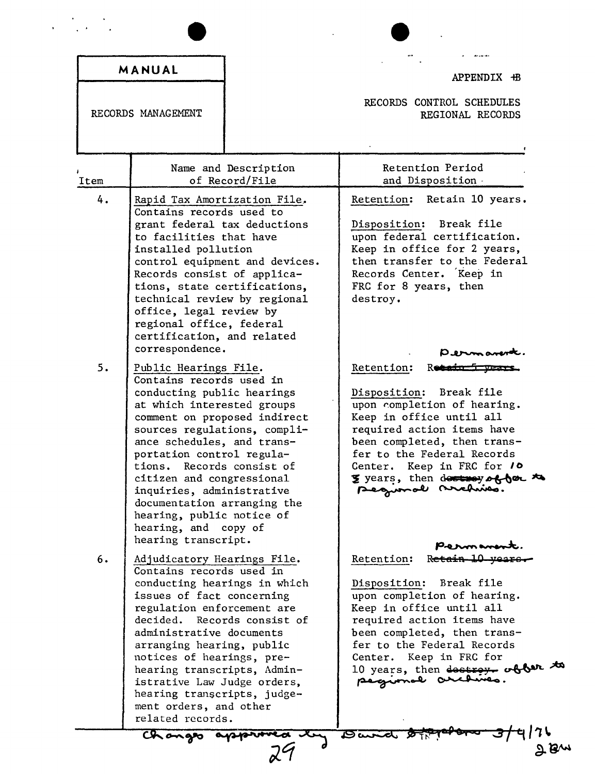|          | MANUAL                                                                                                                                                                                                                                                                                                                                                                                                                                                                                                                                                                                                                                                                                                                    | APPENDIX +B                                                                                                                                                                                                                                                                                                                                                                                                                                                                                                                        |
|----------|---------------------------------------------------------------------------------------------------------------------------------------------------------------------------------------------------------------------------------------------------------------------------------------------------------------------------------------------------------------------------------------------------------------------------------------------------------------------------------------------------------------------------------------------------------------------------------------------------------------------------------------------------------------------------------------------------------------------------|------------------------------------------------------------------------------------------------------------------------------------------------------------------------------------------------------------------------------------------------------------------------------------------------------------------------------------------------------------------------------------------------------------------------------------------------------------------------------------------------------------------------------------|
|          | RECORDS MANAGEMENT                                                                                                                                                                                                                                                                                                                                                                                                                                                                                                                                                                                                                                                                                                        | RECORDS CONTROL SCHEDULES<br>REGIONAL RECORDS                                                                                                                                                                                                                                                                                                                                                                                                                                                                                      |
| Item     | Name and Description<br>of Record/File                                                                                                                                                                                                                                                                                                                                                                                                                                                                                                                                                                                                                                                                                    | Retention Period<br>and Disposition -                                                                                                                                                                                                                                                                                                                                                                                                                                                                                              |
| 4.<br>5. | Rapid Tax Amortization File.<br>Contains records used to<br>grant federal tax deductions<br>to facilities that have<br>installed pollution<br>control equipment and devices.<br>Records consist of applica-<br>tions, state certifications,<br>technical review by regional<br>office, legal review by<br>regional office, federal<br>certification, and related<br>correspondence.<br>Public Hearings File.<br>Contains records used in<br>conducting public hearings<br>at which interested groups<br>comment on proposed indirect<br>sources regulations, compli-<br>ance schedules, and trans-<br>portation control regula-<br>tions.<br>Records consist of<br>citizen and congressional<br>inquiries, administrative | Retention: Retain 10 years.<br>Disposition: Break file<br>upon federal certification.<br>Keep in office for 2 years,<br>then transfer to the Federal<br>Records Center. Keep in<br>FRC for 8 years, then<br>destroy.<br>Retention:<br>R <del>otain</del><br>Break file<br>Disposition:<br>upon completion of hearing.<br>Keep in office until all<br>required action items have<br>been completed, then trans-<br>fer to the Federal Records<br>Center. Keep in FRC for 10<br>y years, then destroy of for to<br>pequende suchino. |
| 6.       | documentation arranging the<br>hearing, public notice of<br>hearing, and copy of<br>hearing transcript.<br>Adjudicatory Hearings File.<br>Contains records used in<br>conducting hearings in which<br>issues of fact concerning<br>regulation enforcement are<br>decided.<br>Records consist of<br>administrative documents<br>arranging hearing, public<br>notices of hearings, pre-<br>hearing transcripts, Admin-<br>istrative Law Judge orders,<br>hearing transcripts, judge-<br>ment orders, and other<br>related records.                                                                                                                                                                                          | Perman<br>Retain 10 year<br>Retention:<br>Disposition:<br>Break file<br>upon completion of hearing.<br>Keep in office until all<br>required action items have<br>been completed, then trans-<br>fer to the Federal Records<br>Keep in FRC for<br>Center.<br>10 years, then dostroy about to<br>pegional archives.                                                                                                                                                                                                                  |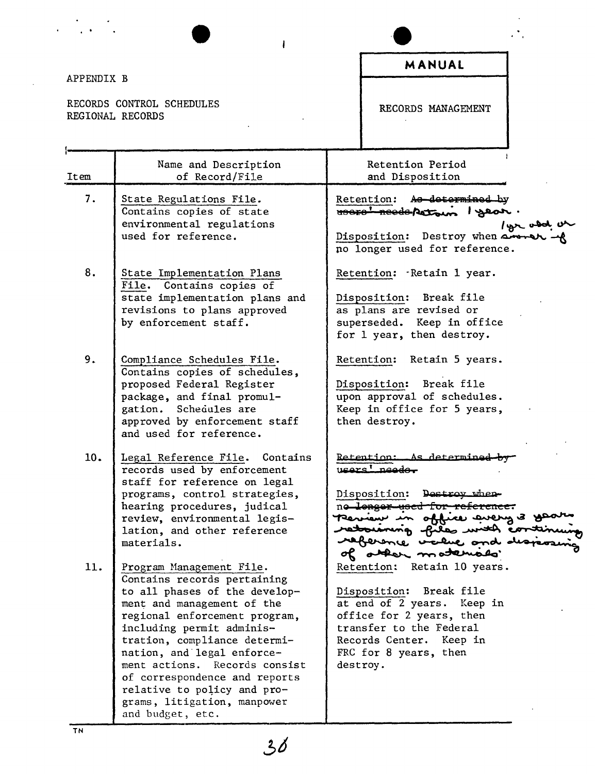|            |                                                                                                                                                                                                                                                                                                                                                                                       | MANUAL                                                                                                                                                                                                                                 |
|------------|---------------------------------------------------------------------------------------------------------------------------------------------------------------------------------------------------------------------------------------------------------------------------------------------------------------------------------------------------------------------------------------|----------------------------------------------------------------------------------------------------------------------------------------------------------------------------------------------------------------------------------------|
| APPENDIX B |                                                                                                                                                                                                                                                                                                                                                                                       |                                                                                                                                                                                                                                        |
|            | RECORDS CONTROL SCHEDULES<br>REGIONAL RECORDS                                                                                                                                                                                                                                                                                                                                         | RECORDS MANAGEMENT                                                                                                                                                                                                                     |
| Item       | Name and Description<br>of Record/File                                                                                                                                                                                                                                                                                                                                                | Retention Period<br>and Disposition                                                                                                                                                                                                    |
| 7.         | State Regulations File.<br>Contains copies of state<br>environmental regulations                                                                                                                                                                                                                                                                                                      | Retention: As determined by<br>HOOFO' Reeds Petrus 1 year.<br>bisposition: Destroy when anonely we                                                                                                                                     |
|            | used for reference.                                                                                                                                                                                                                                                                                                                                                                   | no longer used for reference.                                                                                                                                                                                                          |
| 8.         | State Implementation Plans<br>File. Contains copies of<br>state implementation plans and                                                                                                                                                                                                                                                                                              | Retention: Retain 1 year.<br>Disposition: Break file                                                                                                                                                                                   |
|            | revisions to plans approved<br>by enforcement staff.                                                                                                                                                                                                                                                                                                                                  | as plans are revised or<br>superseded. Keep in office<br>for 1 year, then destroy.                                                                                                                                                     |
| 9.         | Compliance Schedules File.<br>Contains copies of schedules,<br>proposed Federal Register<br>package, and final promul-<br>gation. Schedules are<br>approved by enforcement staff<br>and used for reference.                                                                                                                                                                           | Retention: Retain 5 years.<br>Disposition: Break file<br>upon approval of schedules.<br>Keep in office for 5 years,<br>then destroy.                                                                                                   |
| 10.        | Legal Reference File.<br>Contains<br>records used by enforcement<br>staff for reference on legal<br>programs, control strategies,<br>hearing procedures, judical<br>review, environmental legis-<br>lation, and other reference<br>materials.                                                                                                                                         | <u>Retention: As determine</u><br>ممت<br>Disposition: Destroy when-<br>no longer used for reference.<br>Pernan in office avery 3 go<br>retourning files with eo<br>raference value and de                                              |
| 11.        | Program Management File.<br>Contains records pertaining<br>to all phases of the develop-<br>ment and management of the<br>regional enforcement program,<br>including permit adminis-<br>tration, compliance determi-<br>nation, and legal enforce-<br>ment actions.<br>Records consist<br>of correspondence and reports<br>relative to policy and pro-<br>grams, litigation, manpower | other motemato<br>σK<br>Retention: Retain 10 years.<br>Disposition:<br>Break file<br>at end of 2 years. Keep in<br>office for 2 years, then<br>transfer to the Federal<br>Records Center. Keep in<br>FRC for 8 years, then<br>destroy. |

 $\mathbb{R}^2$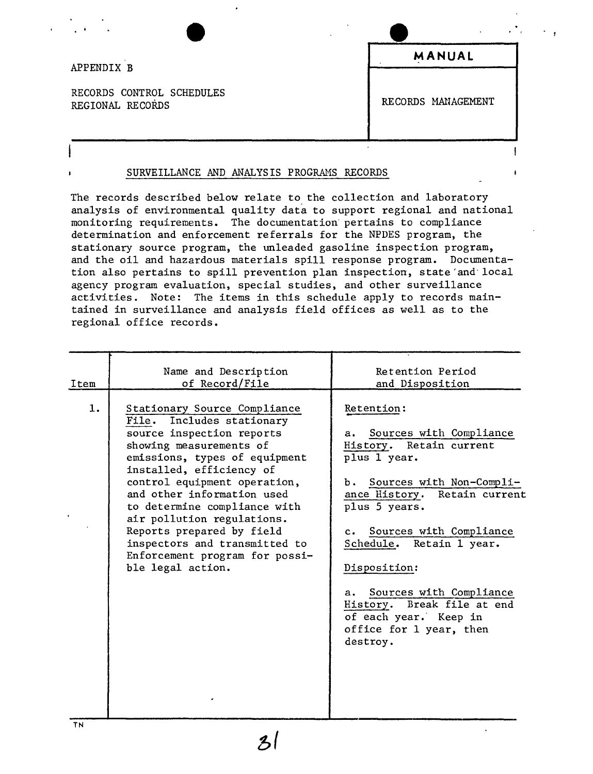### APPENDIX B

RECORDS CONTROL SCHEDULES REGIONAL RECORDS MANAGEMENT

**MANUAL**

÷

### SURVEILLANCE AND ANALYSIS PROGRAMS RECORDS

The records described below relate to the collection and laboratory analysis of environmental quality data to support regional and national monitoring requirements. The documentation' pertains to compliance determination and enforcement referrals for the NPDES program, the stationary source program, the unleaded gasoline inspection program, and the oil and hazardous materials spill response program. Documentation also pertains to spill prevention plan inspection, state'and'local agency program evaluation, special studies, and other surveillance activities. Note: The items in this schedule apply to records maintained in surveillance and analysis field offices as well as to the regional office records.

| Item<br>1. | Name and Description<br>of Record/File<br>Stationary Source Compliance<br>Includes stationary<br>File.<br>source inspection reports<br>showing measurements of                                                                                                                                             | Retention Period<br>and Disposition<br>Retention:<br>Sources with Compliance<br>a.<br>History. Retain current                                                          |
|------------|------------------------------------------------------------------------------------------------------------------------------------------------------------------------------------------------------------------------------------------------------------------------------------------------------------|------------------------------------------------------------------------------------------------------------------------------------------------------------------------|
|            | emissions, types of equipment<br>installed, efficiency of<br>control equipment operation,<br>and other information used<br>to determine compliance with<br>air pollution regulations.<br>Reports prepared by field<br>inspectors and transmitted to<br>Enforcement program for possi-<br>ble legal action. | plus 1 year.<br>b. Sources with Non-Compli-<br>ance History. Retain current<br>plus 5 years.<br>c. Sources with Compliance<br>Schedule. Retain 1 year.<br>Disposition: |
|            |                                                                                                                                                                                                                                                                                                            | Sources with Compliance<br>a.<br>History. Break file at end<br>of each year. Keep in<br>office for 1 year, then<br>destroy.                                            |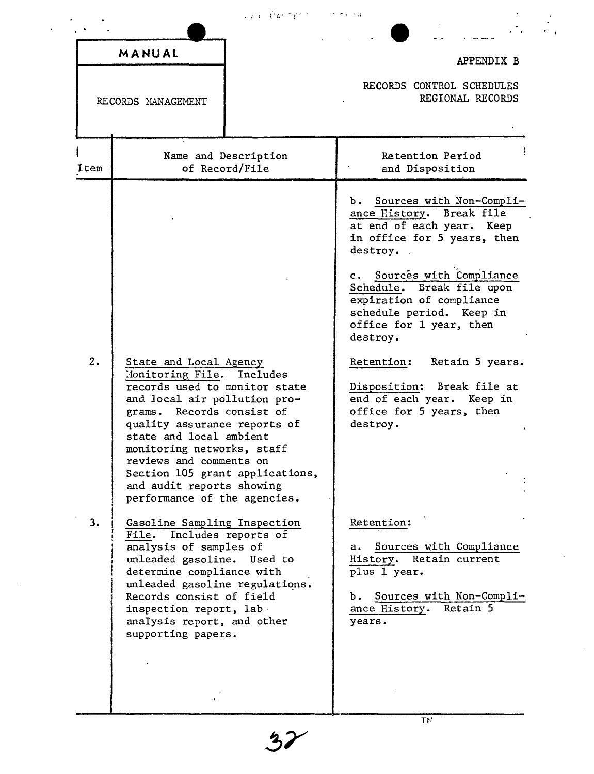|          |                                                                                                                                                                                                                                                                                                                                                                                                                                                                                                                                          | Liza CAPTER ST                         | <b>Contractor</b>                                                                                                                                                                                                                                                                                                                                                                                                                                                                                                                     |
|----------|------------------------------------------------------------------------------------------------------------------------------------------------------------------------------------------------------------------------------------------------------------------------------------------------------------------------------------------------------------------------------------------------------------------------------------------------------------------------------------------------------------------------------------------|----------------------------------------|---------------------------------------------------------------------------------------------------------------------------------------------------------------------------------------------------------------------------------------------------------------------------------------------------------------------------------------------------------------------------------------------------------------------------------------------------------------------------------------------------------------------------------------|
|          | MANUAL                                                                                                                                                                                                                                                                                                                                                                                                                                                                                                                                   |                                        | APPENDIX B                                                                                                                                                                                                                                                                                                                                                                                                                                                                                                                            |
|          | RECORDS MANAGEMENT                                                                                                                                                                                                                                                                                                                                                                                                                                                                                                                       |                                        | RECORDS CONTROL SCHEDULES<br>REGIONAL RECORDS                                                                                                                                                                                                                                                                                                                                                                                                                                                                                         |
| Item     |                                                                                                                                                                                                                                                                                                                                                                                                                                                                                                                                          | Name and Description<br>of Record/File | Retention Period<br>and Disposition                                                                                                                                                                                                                                                                                                                                                                                                                                                                                                   |
| 2.<br>3. | State and Local Agency<br>Monitoring File.<br>records used to monitor state<br>and local air pollution pro-<br>grams. Records consist of<br>quality assurance reports of<br>state and local ambient<br>monitoring networks, staff<br>reviews and comments on<br>Section 105 grant applications,<br>and audit reports showing<br>performance of the agencies.<br>Gasoline Sampling Inspection<br>File. Includes reports of<br>analysis of samples of<br>unleaded gasoline.<br>determine compliance with<br>unleaded gasoline regulations. | Includes<br>Used to                    | b. Sources with Non-Compli-<br>ance History. Break file<br>at end of each year. Keep<br>in office for 5 years, then<br>destroy.<br>Sources with Compliance<br>$c_{\bullet}$<br>Schedule. Break file upon<br>expiration of compliance<br>schedule period. Keep in<br>office for 1 year, then<br>destroy.<br>Retention: Retain 5 years.<br>Disposition: Break file at<br>end of each year. Keep in<br>office for 5 years, then<br>destroy.<br>Retention:<br>Sources with Compliance<br>a.<br>Retain current<br>History.<br>plus 1 year. |
|          | Records consist of field<br>inspection report, lab<br>analysis report, and other<br>supporting papers.                                                                                                                                                                                                                                                                                                                                                                                                                                   |                                        | Sources with Non-Compli-<br>ь.<br>ance History.<br>Retain 5<br>years.                                                                                                                                                                                                                                                                                                                                                                                                                                                                 |

 $32$ 

 $\hat{\mathbf{r}}$ 

 $\overline{T}N$ 

 $\hat{\mathcal{L}}$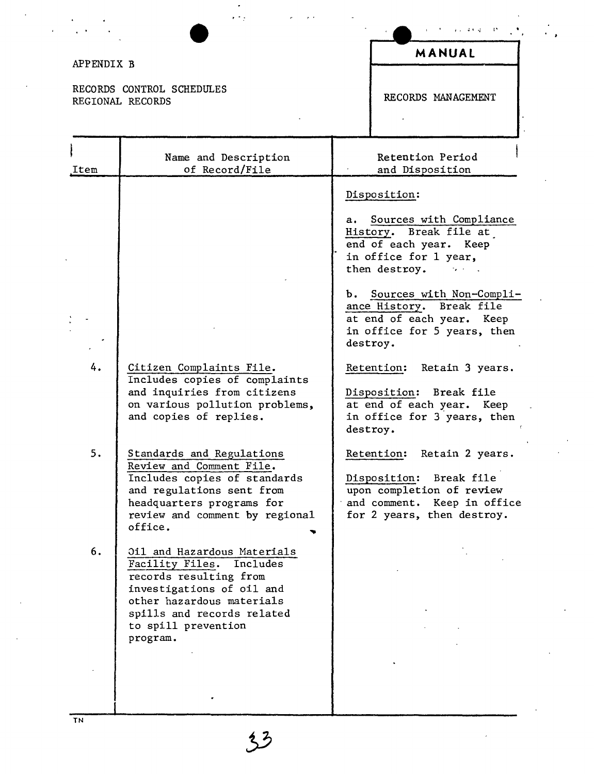| APPENDIX B |                                                                                                                                                                                                              | MANUAL                                                                                                                                                                                                                                                                           |
|------------|--------------------------------------------------------------------------------------------------------------------------------------------------------------------------------------------------------------|----------------------------------------------------------------------------------------------------------------------------------------------------------------------------------------------------------------------------------------------------------------------------------|
|            | RECORDS CONTROL SCHEDULES<br>REGIONAL RECORDS                                                                                                                                                                | RECORDS MANAGEMENT                                                                                                                                                                                                                                                               |
| Item       | Name and Description<br>of Record/File                                                                                                                                                                       | Retention Period<br>and Disposition                                                                                                                                                                                                                                              |
|            |                                                                                                                                                                                                              | Disposition:<br>Sources with Compliance<br>a. I<br>History. Break file at<br>end of each year. Keep<br>in office for 1 year,<br>then destroy.<br>b. Sources with Non-Compli-<br>ance History. Break file<br>at end of each year. Keep<br>in office for 5 years, then<br>destroy. |
| 4.         | Citizen Complaints File.<br>Includes copies of complaints<br>and inquiries from citizens<br>on various pollution problems,<br>and copies of replies.                                                         | Retention:<br>Retain 3 years.<br>Break file<br>Disposition:<br>at end of each year. Keep<br>in office for 3 years, then<br>destroy.                                                                                                                                              |
| 5.         | Standards and Regulations<br>Review and Comment File.<br>Includes copies of standards<br>and regulations sent from<br>headquarters programs for<br>review and comment by regional<br>office.                 | Retention:<br>Retain 2 years.<br>Disposition:<br>Break file<br>upon completion of review<br>and comment. Keep in office<br>for 2 years, then destroy.                                                                                                                            |
| 6.         | Oil and Hazardous Materials<br>Facility Files. Includes<br>records resulting from<br>investigations of oil and<br>other hazardous materials<br>spills and records related<br>to spill prevention<br>program. |                                                                                                                                                                                                                                                                                  |
|            |                                                                                                                                                                                                              |                                                                                                                                                                                                                                                                                  |

 $\frac{1}{\sqrt{2}}$ 

 $\epsilon$ 

ł.

 $33$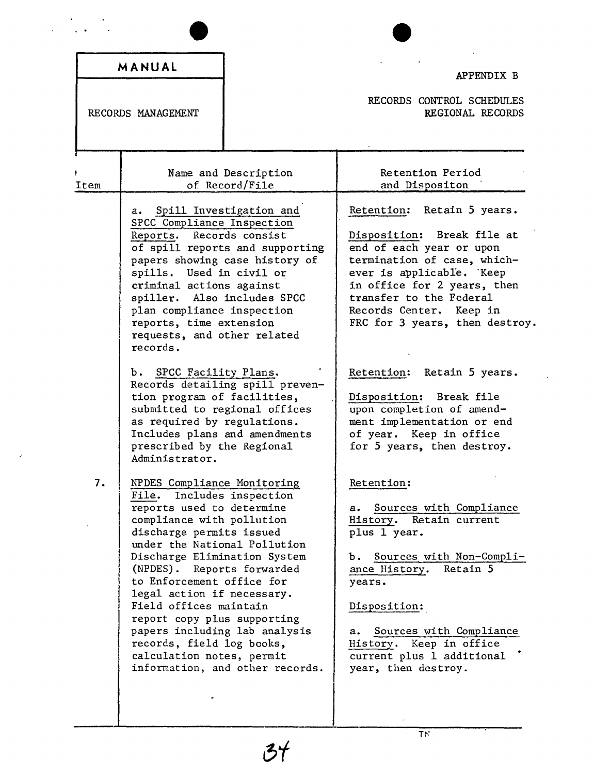|      | MANUAL                                                                                                                                                                                                                                                                                                                                                                                                                                                                                            | APPENDIX B                                                                                                                                                                                                                                                                                      |
|------|---------------------------------------------------------------------------------------------------------------------------------------------------------------------------------------------------------------------------------------------------------------------------------------------------------------------------------------------------------------------------------------------------------------------------------------------------------------------------------------------------|-------------------------------------------------------------------------------------------------------------------------------------------------------------------------------------------------------------------------------------------------------------------------------------------------|
|      | RECORDS MANAGEMENT                                                                                                                                                                                                                                                                                                                                                                                                                                                                                | RECORDS CONTROL SCHEDULES<br>REGIONAL RECORDS                                                                                                                                                                                                                                                   |
| Item | Name and Description<br>of Record/File                                                                                                                                                                                                                                                                                                                                                                                                                                                            | Retention Period<br>and Dispositon                                                                                                                                                                                                                                                              |
|      | Spill Investigation and<br>а. –<br>SPCC Compliance Inspection<br>Records consist<br>Reports.<br>of spill reports and supporting<br>papers showing case history of<br>spills. Used in civil or<br>criminal actions against<br>spiller. Also includes SPCC<br>plan compliance inspection<br>reports, time extension<br>requests, and other related<br>records.                                                                                                                                      | Retention: Retain 5 years.<br>Disposition: Break file at<br>end of each year or upon<br>termination of case, which-<br>ever is applicable. Keep<br>in office for 2 years, then<br>transfer to the Federal<br>Records Center. Keep in<br>FRC for 3 years, then destroy.                          |
|      | b. SPCC Facility Plans.<br>Records detailing spill preven-<br>tion program of facilities,<br>submitted to regional offices<br>as required by regulations.<br>Includes plans and amendments<br>prescribed by the Regional<br>Administrator.                                                                                                                                                                                                                                                        | Retention: Retain 5 years.<br>Disposition: Break file<br>upon completion of amend-<br>ment implementation or end<br>of year. Keep in office<br>for 5 years, then destroy.                                                                                                                       |
| 7.   | NPDES Compliance Monitoring<br>Includes inspection<br>File.<br>reports used to determine<br>compliance with pollution<br>discharge permits issued<br>under the National Pollution<br>Discharge Elimination System<br>(NPDES). Reports forwarded<br>to Enforcement office for<br>legal action if necessary.<br>Field offices maintain<br>report copy plus supporting<br>papers including lab analysis<br>records, field log books,<br>calculation notes, permit<br>information, and other records. | Retention:<br>Sources with Compliance<br>a.<br>History. Retain current<br>plus 1 year.<br>Sources with Non-Compli-<br>ъ.<br>Retain 5<br>ance History.<br>years.<br>Disposition:<br>Sources with Compliance<br>а.<br>History. Keep in office<br>current plus 1 additional<br>year, then destroy. |

 $\epsilon$ 

 $\ddot{\phantom{a}}$ 

 $\ddot{\phantom{0}}$ 

 $\overline{\text{tr}}$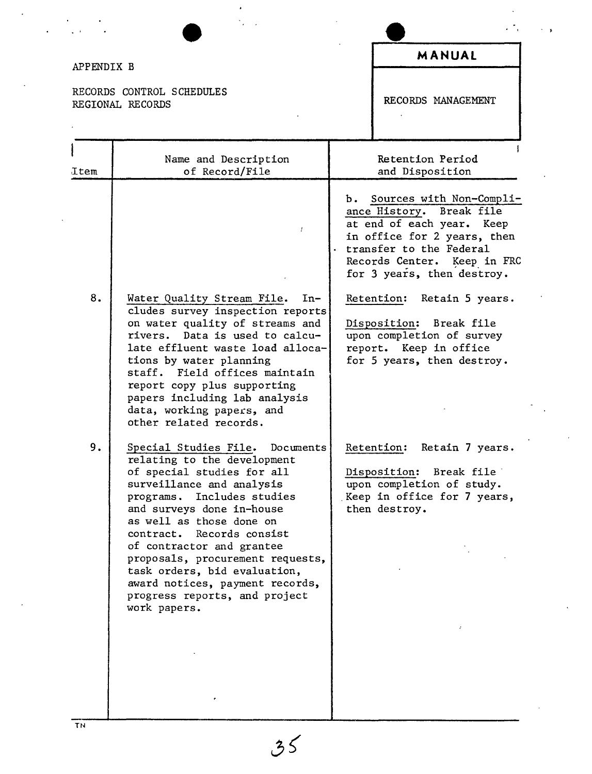| APPENDIX B |                                                                                                                                                                                                                                                                                                                                                                                                                                          | MANUAL                                                                                                                                                                                                      |
|------------|------------------------------------------------------------------------------------------------------------------------------------------------------------------------------------------------------------------------------------------------------------------------------------------------------------------------------------------------------------------------------------------------------------------------------------------|-------------------------------------------------------------------------------------------------------------------------------------------------------------------------------------------------------------|
|            | RECORDS CONTROL SCHEDULES<br>REGIONAL RECORDS                                                                                                                                                                                                                                                                                                                                                                                            | RECORDS MANAGEMENT                                                                                                                                                                                          |
| Item       | Name and Description<br>of Record/File                                                                                                                                                                                                                                                                                                                                                                                                   | Retention Period<br>and Disposition                                                                                                                                                                         |
|            | Ŧ                                                                                                                                                                                                                                                                                                                                                                                                                                        | b. Sources with Non-Compli-<br>ance History. Break file<br>at end of each year. Keep<br>in office for 2 years, then<br>transfer to the Federal<br>Records Center. Keep in FRC<br>for 3 years, then destroy. |
| 8.         | Water Quality Stream File.<br>$In-$<br>cludes survey inspection reports<br>on water quality of streams and<br>rivers. Data is used to calcu-<br>late effluent waste load alloca-<br>tions by water planning<br>staff. Field offices maintain<br>report copy plus supporting<br>papers including lab analysis<br>data, working papers, and<br>other related records.                                                                      | Retention: Retain 5 years.<br>Disposition: Break file<br>upon completion of survey<br>report. Keep in office<br>for 5 years, then destroy.                                                                  |
| 9.         | Special Studies File. Documents<br>relating to the development<br>of special studies for all<br>surveillance and analysis<br>programs.<br>Includes studies<br>and surveys done in-house<br>as well as those done on<br>contract.<br>Records consist<br>of contractor and grantee<br>proposals, procurement requests,<br>task orders, bid evaluation,<br>award notices, payment records,<br>progress reports, and project<br>work papers. | Retention:<br>Retain 7 years.<br>Disposition:<br>Break file<br>upon completion of study.<br>Keep in office for 7 years,<br>then destroy.                                                                    |

 $\mathcal{F}_{\mathcal{A}}$ 

 $\star$ 

 $\mathcal{C}$ 

 $35$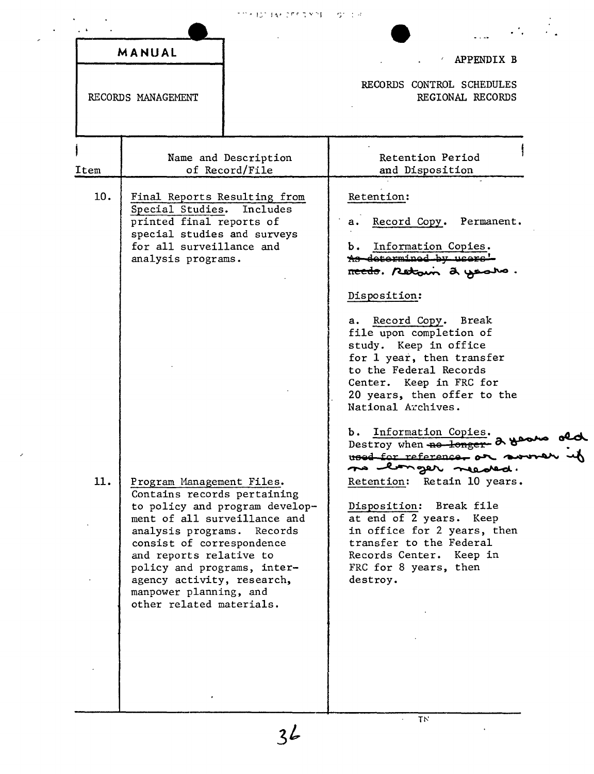|  |  | アクト ねこまい こちりがかない しゅうじょ |  |
|--|--|------------------------|--|
|  |  |                        |  |

 $\overline{\phantom{a}}$ 

MANUAL

RECORDS MANAGEMENT

## $\angle$  APPENDIX B

 $\cdots$ 

 $\begin{array}{c} \begin{array}{c} \cdot \\ \cdot \\ \cdot \end{array} \end{array}$ 

И,

RECORDS CONTROL SCHEDULES REGIONAL RECORDS

 $\ddot{\phantom{a}}$ 

| 10.<br>11. | Final Reports Resulting from<br>Special Studies.<br>Includes<br>printed final reports of<br>special studies and surveys<br>for all surveillance and<br>analysis programs.                                                                                                                                                           | Retention:<br>Record Copy. Permanent.<br>а.<br>Information Copies.<br>ъ.<br>As determined by users!<br>recto. Retoun a years.<br>Disposition:<br>a. Record Copy. Break<br>file upon completion of<br>study. Keep in office<br>for 1 year, then transfer<br>to the Federal Records<br>Center. Keep in FRC for                |
|------------|-------------------------------------------------------------------------------------------------------------------------------------------------------------------------------------------------------------------------------------------------------------------------------------------------------------------------------------|-----------------------------------------------------------------------------------------------------------------------------------------------------------------------------------------------------------------------------------------------------------------------------------------------------------------------------|
|            |                                                                                                                                                                                                                                                                                                                                     | 20 years, then offer to the<br>National Archives.                                                                                                                                                                                                                                                                           |
|            | Program Management Files.<br>Contains records pertaining<br>to policy and program develop-<br>ment of all surveillance and<br>analysis programs. Records<br>consist of correspondence<br>and reports relative to<br>policy and programs, inter-<br>agency activity, research,<br>manpower planning, and<br>other related materials. | b. Information Copies.<br>Destroy when no longer- 2 good<br>used for reference or sound<br>no longer needed.<br>Retention: Retain 10 years.<br>Disposition: Break file<br>at end of 2 years. Keep<br>in office for 2 years, then<br>transfer to the Federal<br>Records Center. Keep in<br>FRC for 8 years, then<br>destroy. |

 $\overline{T}N$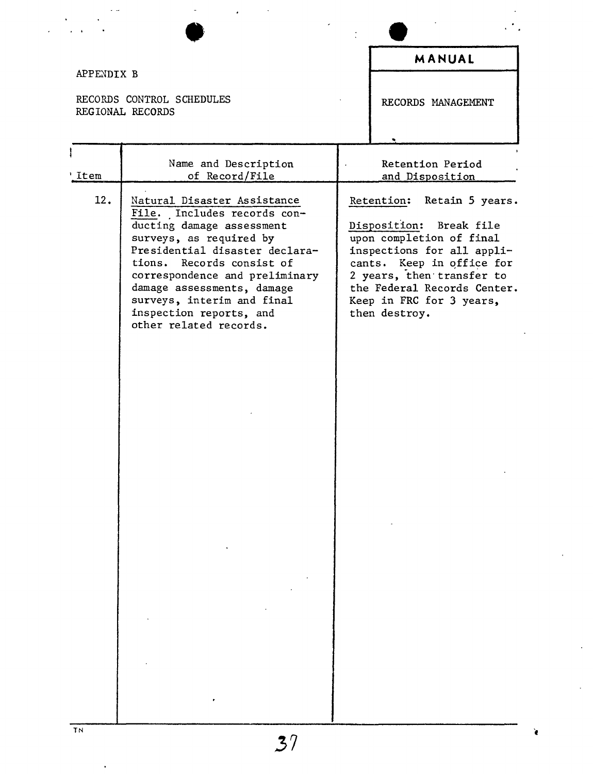| MANUAL<br>APPENDIX B                                                                                                                                                                                                                                                                                                                                                                                                                                                                                                                                                                                    |  |
|---------------------------------------------------------------------------------------------------------------------------------------------------------------------------------------------------------------------------------------------------------------------------------------------------------------------------------------------------------------------------------------------------------------------------------------------------------------------------------------------------------------------------------------------------------------------------------------------------------|--|
|                                                                                                                                                                                                                                                                                                                                                                                                                                                                                                                                                                                                         |  |
|                                                                                                                                                                                                                                                                                                                                                                                                                                                                                                                                                                                                         |  |
| RECORDS CONTROL SCHEDULES<br>RECORDS MANAGEMENT<br>REGIONAL RECORDS                                                                                                                                                                                                                                                                                                                                                                                                                                                                                                                                     |  |
|                                                                                                                                                                                                                                                                                                                                                                                                                                                                                                                                                                                                         |  |
| Name and Description<br>Retention Period<br>of Record/File<br>'Item<br>and Disposition                                                                                                                                                                                                                                                                                                                                                                                                                                                                                                                  |  |
| 12.<br>Natural Disaster Assistance<br>Retention:<br>Retain 5 years.<br>File. Includes records con-<br>Disposition: Break file<br>ducting damage assessment<br>upon completion of final<br>surveys, as required by<br>Presidential disaster declara-<br>inspections for all appli-<br>tions. Records consist of<br>cants. Keep in office for<br>2 years, then transfer to<br>correspondence and preliminary<br>damage assessments, damage<br>the Federal Records Center.<br>surveys, interim and final<br>Keep in FRC for 3 years,<br>inspection reports, and<br>then destroy.<br>other related records. |  |

 $\frac{1}{\sqrt{2}}\sum_{i=1}^{n} \frac{1}{i}$ 

 $\ddot{\phantom{0}}$ 

 $\ddot{\phantom{0}}$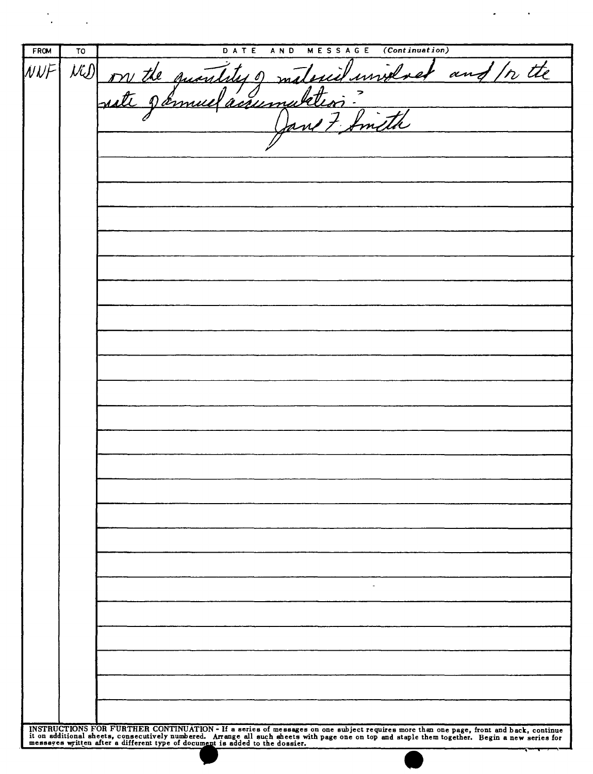| TO | $\overline{(Continuation)}$<br>DATE<br><b>MESSAGE</b><br>AND                                                                                                                                                                   |
|----|--------------------------------------------------------------------------------------------------------------------------------------------------------------------------------------------------------------------------------|
|    | Will on the quant<br>unnel<br>any<br>$\mu$<br>m                                                                                                                                                                                |
|    | ' isseme                                                                                                                                                                                                                       |
|    |                                                                                                                                                                                                                                |
|    |                                                                                                                                                                                                                                |
|    |                                                                                                                                                                                                                                |
|    |                                                                                                                                                                                                                                |
|    |                                                                                                                                                                                                                                |
|    |                                                                                                                                                                                                                                |
|    |                                                                                                                                                                                                                                |
|    |                                                                                                                                                                                                                                |
|    |                                                                                                                                                                                                                                |
|    |                                                                                                                                                                                                                                |
|    |                                                                                                                                                                                                                                |
|    |                                                                                                                                                                                                                                |
|    |                                                                                                                                                                                                                                |
|    |                                                                                                                                                                                                                                |
|    |                                                                                                                                                                                                                                |
|    |                                                                                                                                                                                                                                |
|    |                                                                                                                                                                                                                                |
|    |                                                                                                                                                                                                                                |
|    |                                                                                                                                                                                                                                |
|    |                                                                                                                                                                                                                                |
|    |                                                                                                                                                                                                                                |
|    |                                                                                                                                                                                                                                |
|    |                                                                                                                                                                                                                                |
|    | $\sim$                                                                                                                                                                                                                         |
|    |                                                                                                                                                                                                                                |
|    |                                                                                                                                                                                                                                |
|    |                                                                                                                                                                                                                                |
|    |                                                                                                                                                                                                                                |
|    |                                                                                                                                                                                                                                |
|    |                                                                                                                                                                                                                                |
|    | INSTRUCTIONS FOR FURTHER CONTINUATION - If a series of messages on one subject requires more than one page, front and back, continue it on additional sheets, consecutively numbered. Arrange all such sheets with page one on |
|    |                                                                                                                                                                                                                                |

 $\mathcal{M}^{\text{max}}_{\text{max}}$ 

 $\mathcal{L}^{(n)}$  and  $\mathcal{L}^{(n)}$